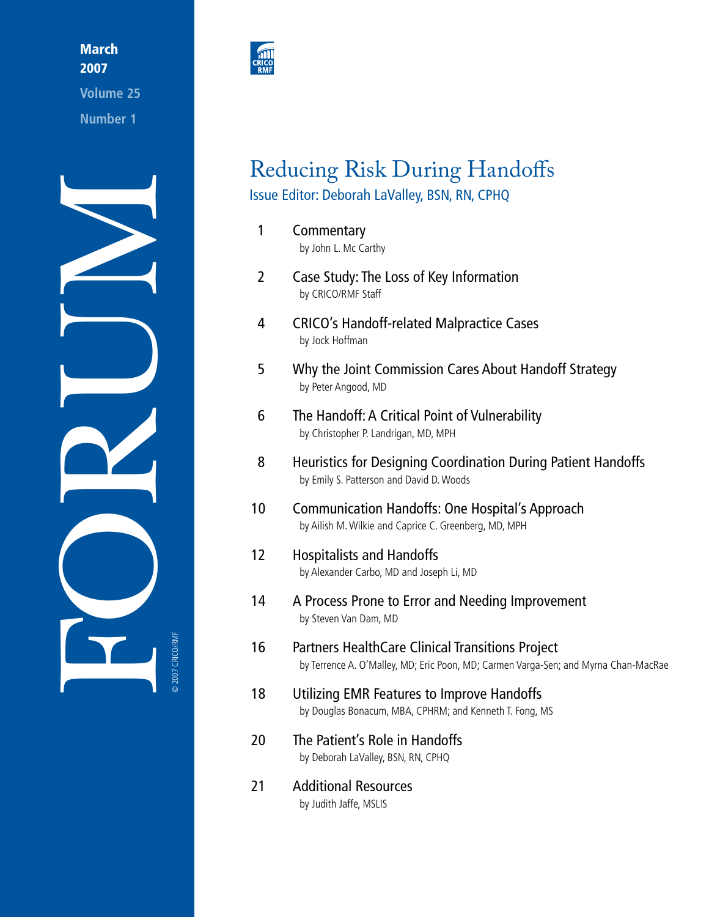March 2007

**Volume 25 Number 1**





# Reducing Risk During Handoffs Issue Editor: Deborah LaValley, BSN, RN, CPHQ

1 [Commentary](#page-2-0) by John L. Mc Carthy 2 Case Study: The Loss of Key [Information](#page-3-0) by CRICO/RMF Staff 4 CRICO's [Handoff-related](#page-5-0) Malpractice Cases by Jock Hoffman 5 Why the Joint [Commission](#page-6-0) Cares About Handoff Strategy by Peter Angood, MD 6 The Handoff: A Critical Point of [Vulnerability](#page-7-0) by Christopher P. Landrigan, MD, MPH 8 Heuristics for Designing [Coordination](#page-9-0) During Patient Handoffs by Emily S. Patterson and David D. Woods 10 [Communication](#page-11-0) Handoffs: One Hospital's Approach by Ailish M. Wilkie and Caprice C. Greenberg, MD, MPH 12 [Hospitalists](#page-13-0) and Handoffs by Alexander Carbo, MD and Joseph Li, MD 14 A Process Prone to Error and Needing [Improvement](#page-15-0) by Steven Van Dam, MD 16 Partners [HealthCare](#page-17-0) Clinical Transitions Project by Terrence A. O'Malley, MD; Eric Poon, MD; Carmen Varga-Sen; and Myrna Chan-MacRae 18 Utilizing EMR Features to Improve [Handoffs](#page-19-0) by Douglas Bonacum, MBA, CPHRM; and Kenneth T. Fong, MS 20 The Patient's Role in [Handoffs](#page-21-0) by Deborah LaValley, BSN, RN, CPHQ 21 [Additional](#page-22-0) Resources by Judith Jaffe, MSLIS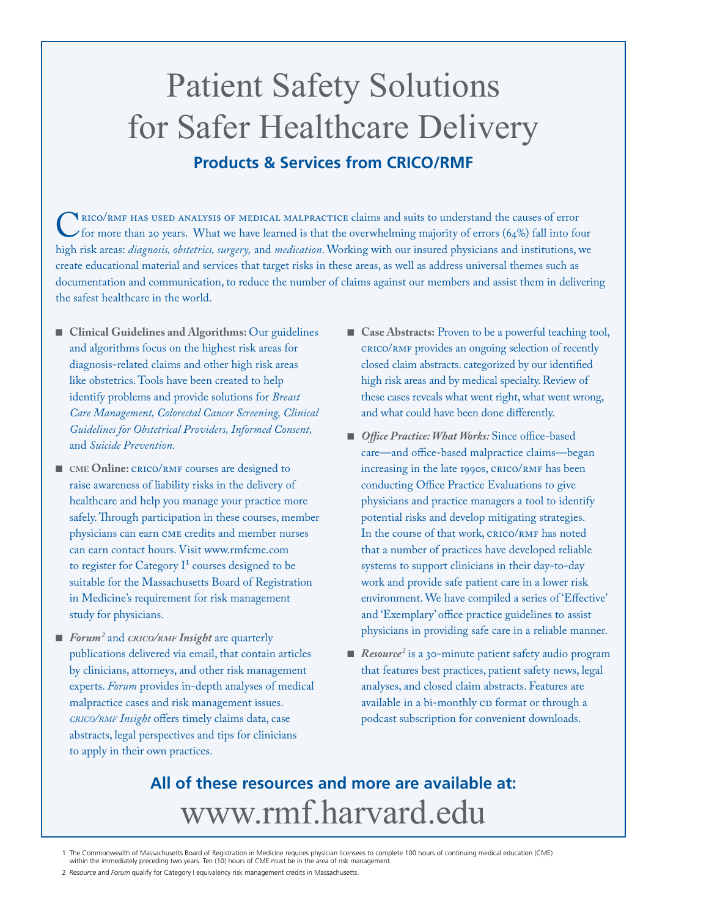# Patient Safety Solutions for Safer Healthcare Delivery **Products & Services from CRICO/RMF**

CRICO/RMF HAS USED ANALYSIS OF MEDICAL MALPRACTICE claims and suits to understand the causes of error<br>for more than 20 years. What we have learned is that the overwhelming majority of errors (64%) fall into for<br>high risk a for more than 20 years. What we have learned is that the overwhelming majority of errors (64%) fall into four high risk areas: *diagnosis, obstetrics, surgery,* and *medication*. Working with our insured physicians and institutions, we create educational material and services that target risks in these areas, as well as address universal themes such as documentation and communication, to reduce the number of claims against our members and assist them in delivering the safest healthcare in the world.

- Clinical Guidelines and Algorithms: Our guidelines and algorithms focus on the highest risk areas for diagnosis-related claims and other high risk areas like obstetrics. Tools have been created to help identify problems and provide solutions for *Breast Care Management, Colorectal Cancer Screening, Clinical Guidelines for Obstetrical Providers, Informed Consent,*  and *Suicide Prevention.*
- CME **Online:** CRICO/RMF courses are designed to raise awareness of liability risks in the delivery of healthcare and help you manage your practice more safely. Through participation in these courses, member physicians can earn CME credits and member nurses can earn contact hours. Visit www.rmfcme.com to register for Category  $I<sup>1</sup>$  courses designed to be suitable for the Massachusetts Board of Registration in Medicine's requirement for risk management study for physicians.
- *Forum<sup>2</sup>* and *crico/rmF Insight* are quarterly publications delivered via email, that contain articles by clinicians, attorneys, and other risk management experts. *Forum* provides in-depth analyses of medical malpractice cases and risk management issues. *crico/rmf Insight* offers timely claims data, case abstracts, legal perspectives and tips for clinicians to apply in their own practices.
- **Case Abstracts:** Proven to be a powerful teaching tool, CRICO/RMF provides an ongoing selection of recently closed claim abstracts. categorized by our identified high risk areas and by medical specialty. Review of these cases reveals what went right, what went wrong, and what could have been done differently.
- *Office Practice: What Works: Since office-based* care—and office-based malpractice claims—began increasing in the late 1990s, CRICO/RMF has been conducting Office Practice Evaluations to give physicians and practice managers a tool to identify potential risks and develop mitigating strategies. In the course of that work, CRICO/RMF has noted that a number of practices have developed reliable systems to support clinicians in their day-to-day work and provide safe patient care in a lower risk environment. We have compiled a series of 'Effective' and 'Exemplary' office practice guidelines to assist physicians in providing safe care in a reliable manner.
- *Resource<sup>2</sup>* is a 30-minute patient safety audio program that features best practices, patient safety news, legal analyses, and closed claim abstracts. Features are available in a bi-monthly CD format or through a podcast subscription for convenient downloads.

# **All of these resources and more are available at:**  www.rmf.harvard.edu

<sup>1</sup> The Commonwealth of Massachusetts Board of Registration in Medicine requires physician licensees to complete 100 hours of continuing medical education (CME) within the immediately preceding two years. Ten (10) hours of CME must be in the area of risk management.

<sup>2</sup> Resource and *Forum* qualify for Category I equivalency risk management credits in Massachusetts.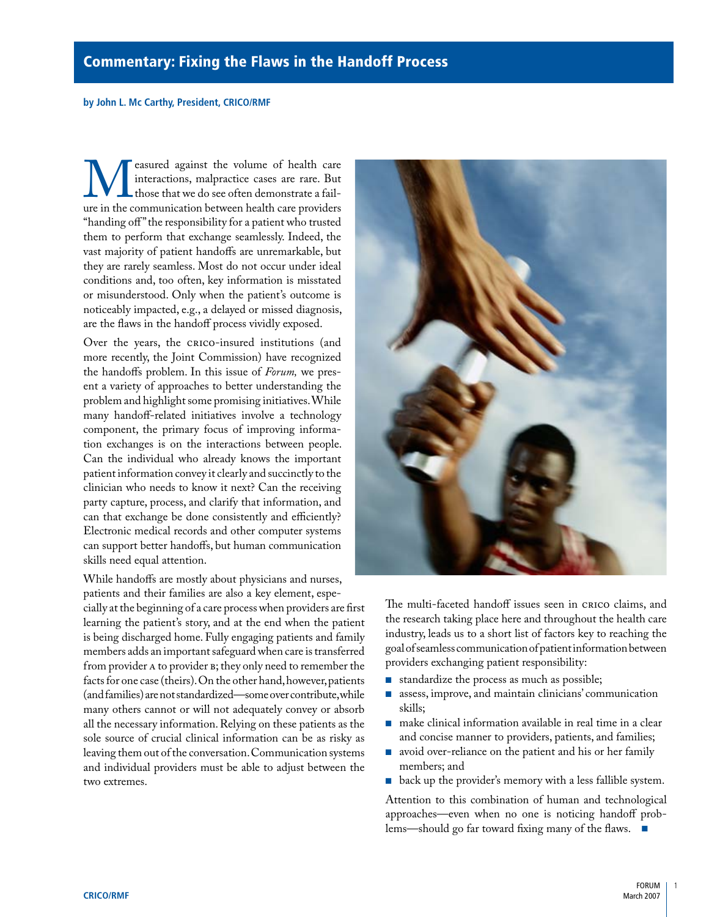#### <span id="page-2-0"></span>**by John L. Mc Carthy, President, CRICO/RMF**

**M**easured against the volume of health care interactions, malpractice cases are rare. But those that we do see often demonstrate a failure in the communication between health care providers interactions, malpractice cases are rare. But those that we do see often demonstrate a failure in the communication between health care providers "handing off" the responsibility for a patient who trusted them to perform that exchange seamlessly. Indeed, the vast majority of patient handoffs are unremarkable, but they are rarely seamless. Most do not occur under ideal conditions and, too often, key information is misstated or misunderstood. Only when the patient's outcome is noticeably impacted, e.g., a delayed or missed diagnosis, are the flaws in the handoff process vividly exposed.

Over the years, the CRICO-insured institutions (and more recently, the Joint Commission) have recognized the handoffs problem. In this issue of *Forum,* we present a variety of approaches to better understanding the problem and highlight some promising initiatives. While many handoff-related initiatives involve a technology component, the primary focus of improving information exchanges is on the interactions between people. Can the individual who already knows the important patient information convey it clearly and succinctly to the clinician who needs to know it next? Can the receiving party capture, process, and clarify that information, and can that exchange be done consistently and efficiently? Electronic medical records and other computer systems can support better handoffs, but human communication skills need equal attention.

While handoffs are mostly about physicians and nurses, patients and their families are also a key element, espe-

cially at the beginning of a care process when providers are first learning the patient's story, and at the end when the patient is being discharged home. Fully engaging patients and family members adds an important safeguard when care is transferred from provider A to provider B; they only need to remember the facts for one case (theirs). On the other hand, however, patients (and families) are not standardized—some over contribute, while many others cannot or will not adequately convey or absorb all the necessary information. Relying on these patients as the sole source of crucial clinical information can be as risky as leaving them out of the conversation. Communication systems and individual providers must be able to adjust between the two extremes.



The multi-faceted handoff issues seen in CRICO claims, and the research taking place here and throughout the health care industry, leads us to a short list of factors key to reaching the goal of seamless communication of patient information between providers exchanging patient responsibility:

- standardize the process as much as possible;
- assess, improve, and maintain clinicians' communication skills; ■
- make clinical information available in real time in a clear and concise manner to providers, patients, and families;
- avoid over-reliance on the patient and his or her family members; and
- back up the provider's memory with a less fallible system.

Attention to this combination of human and technological approaches—even when no one is noticing handoff problems—should go far toward fixing many of the flaws. ■

1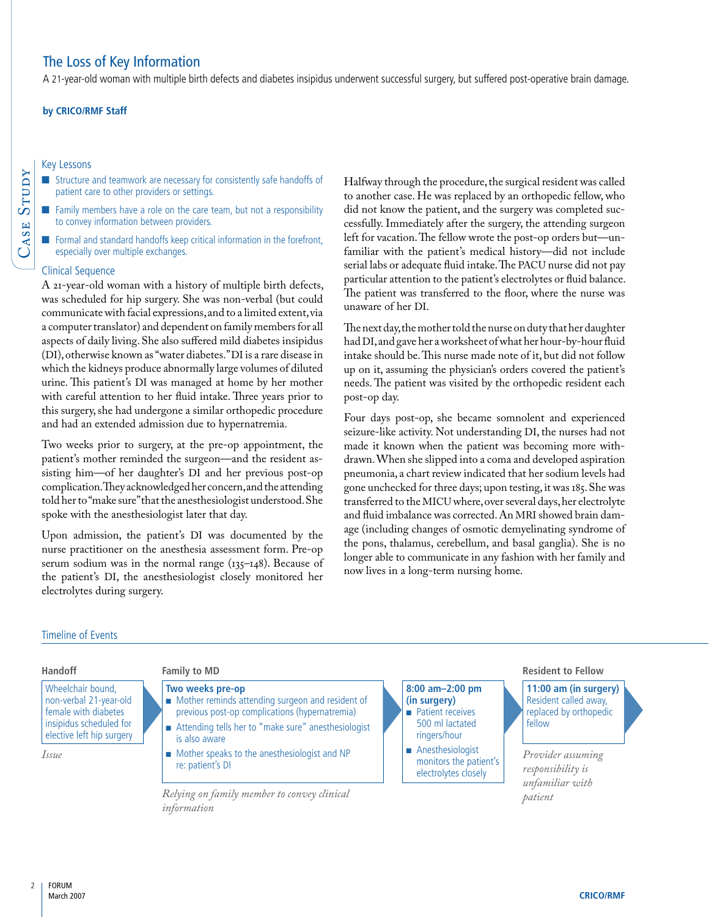# <span id="page-3-0"></span>The Loss of Key Information

A 21-year-old woman with multiple birth defects and diabetes insipidus underwent successful surgery, but suffered post-operative brain damage.

#### **by CRICO/RMF Staff**

#### Key Lessons

- Structure and teamwork are necessary for consistently safe handoffs of patient care to other providers or settings.
- Family members have a role on the care team, but not a responsibility to convey information between providers.
- Formal and standard handoffs keep critical information in the forefront, especially over multiple exchanges. ■

#### Clinical Sequence

 $\bm{\cup}$ ase

**STUDY** 

A 21-year-old woman with a history of multiple birth defects, was scheduled for hip surgery. She was non-verbal (but could communicate with facial expressions, and to a limited extent, via a computer translator) and dependent on family members for all aspects of daily living. She also suffered mild diabetes insipidus (DI), otherwise known as "water diabetes." DI is a rare disease in which the kidneys produce abnormally large volumes of diluted urine. This patient's DI was managed at home by her mother with careful attention to her fluid intake. Three years prior to this surgery, she had undergone a similar orthopedic procedure and had an extended admission due to hypernatremia.

Two weeks prior to surgery, at the pre-op appointment, the patient's mother reminded the surgeon—and the resident assisting him—of her daughter's DI and her previous post-op complication. They acknowledged her concern, and the attending told her to "make sure" that the anesthesiologist understood. She spoke with the anesthesiologist later that day.

Upon admission, the patient's DI was documented by the nurse practitioner on the anesthesia assessment form. Pre-op serum sodium was in the normal range  $(135-148)$ . Because of the patient's DI, the anesthesiologist closely monitored her electrolytes during surgery.

*information*

Halfway through the procedure, the surgical resident was called to another case. He was replaced by an orthopedic fellow, who did not know the patient, and the surgery was completed successfully. Immediately after the surgery, the attending surgeon left for vacation. The fellow wrote the post-op orders but—unfamiliar with the patient's medical history—did not include serial labs or adequate fluid intake. The PACU nurse did not pay particular attention to the patient's electrolytes or fluid balance. The patient was transferred to the floor, where the nurse was unaware of her DI.

The next day, the mother told the nurse on duty that her daughter had DI, and gave her a worksheet of what her hour-by-hour fluid intake should be. This nurse made note of it, but did not follow up on it, assuming the physician's orders covered the patient's needs. The patient was visited by the orthopedic resident each post-op day.

Four days post-op, she became somnolent and experienced seizure-like activity. Not understanding DI, the nurses had not made it known when the patient was becoming more withdrawn. When she slipped into a coma and developed aspiration pneumonia, a chart review indicated that her sodium levels had gone unchecked for three days; upon testing, it was 185. She was transferred to the MICU where, over several days, her electrolyte and fluid imbalance was corrected. An MRI showed brain damage (including changes of osmotic demyelinating syndrome of the pons, thalamus, cerebellum, and basal ganglia). She is no longer able to communicate in any fashion with her family and now lives in a long-term nursing home.

#### Timeline of Events

#### Wheelchair bound, non-verbal 21-year-old female with diabetes insipidus scheduled for elective left hip surgery **Two weeks pre-op** ■ Mother reminds attending surgeon and resident of previous post-op complications (hypernatremia) ■ Attending tells her to "make sure" anesthesiologist is also aware ■ Mother speaks to the anesthesiologist and NP re: patient's DI **8:00 am–2:00 pm (in surgery)** ■ Patient receives 500 ml lactated ringers/hour ■ Anesthesiologist monitors the patient's electrolytes closely **11:00 am (in surgery)** Resident called away, replaced by orthopedic fellow **Handoff Family to MD Resident to Fellow** *Issue Relying on family member to convey clinical Provider assuming responsibility is unfamiliar with patient*

#### $\overline{\phantom{a}}$ FORUM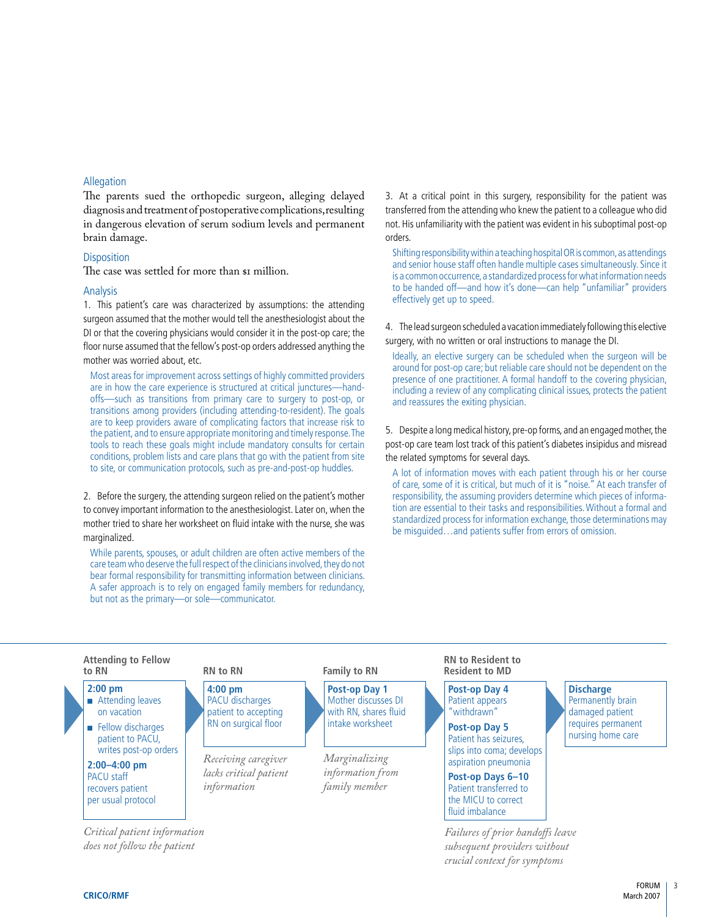#### Allegation

The parents sued the orthopedic surgeon, alleging delayed diagnosis and treatment of postoperative complications, resulting in dangerous elevation of serum sodium levels and permanent brain damage.

#### **Disposition**

The case was settled for more than  $\mathfrak s$  million.

#### Analysis

1. This patient's care was characterized by assumptions: the attending surgeon assumed that the mother would tell the anesthesiologist about the DI or that the covering physicians would consider it in the post-op care; the floor nurse assumed that the fellow's post-op orders addressed anything the mother was worried about, etc.

Most areas for improvement across settings of highly committed providers are in how the care experience is structured at critical junctures—handoffs—such as transitions from primary care to surgery to post-op, or transitions among providers (including attending-to-resident). The goals are to keep providers aware of complicating factors that increase risk to the patient, and to ensure appropriate monitoring and timely response. The tools to reach these goals might include mandatory consults for certain conditions, problem lists and care plans that go with the patient from site to site, or communication protocols, such as pre-and-post-op huddles.

2. Before the surgery, the attending surgeon relied on the patient's mother to convey important information to the anesthesiologist. Later on, when the mother tried to share her worksheet on fluid intake with the nurse, she was marginalized.

While parents, spouses, or adult children are often active members of the care team who deserve the full respect of the clinicians involved, they do not bear formal responsibility for transmitting information between clinicians. A safer approach is to rely on engaged family members for redundancy, but not as the primary—or sole—communicator.

3. At a critical point in this surgery, responsibility for the patient was transferred from the attending who knew the patient to a colleague who did not. His unfamiliarity with the patient was evident in his suboptimal post-op orders.

Shifting responsibility within a teaching hospital OR is common, as attendings and senior house staff often handle multiple cases simultaneously. Since it is a common occurrence, a standardized process for what information needs to be handed off—and how it's done—can help "unfamiliar" providers effectively get up to speed.

4. The lead surgeon scheduled a vacation immediately following this elective surgery, with no written or oral instructions to manage the DI.

Ideally, an elective surgery can be scheduled when the surgeon will be around for post-op care; but reliable care should not be dependent on the presence of one practitioner. A formal handoff to the covering physician, including a review of any complicating clinical issues, protects the patient and reassures the exiting physician.

5. Despite a long medical history, pre-op forms, and an engaged mother, the post-op care team lost track of this patient's diabetes insipidus and misread the related symptoms for several days.

A lot of information moves with each patient through his or her course of care, some of it is critical, but much of it is "noise." At each transfer of responsibility, the assuming providers determine which pieces of information are essential to their tasks and responsibilities. Without a formal and standardized process for information exchange, those determinations may be misguided…and patients suffer from errors of omission.

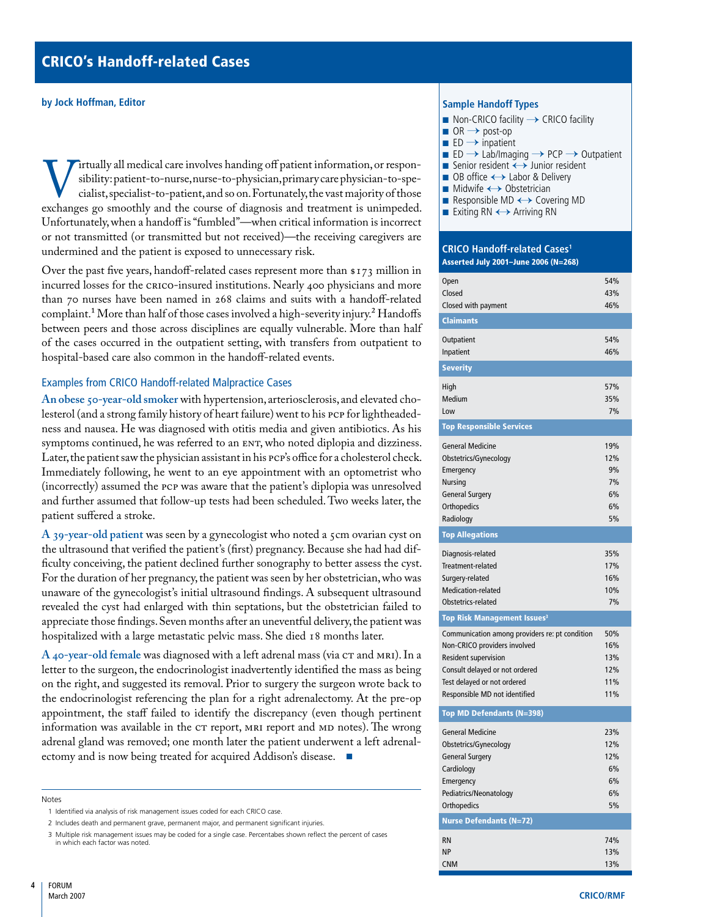#### <span id="page-5-0"></span>**by Jock Hoffman, Editor**

If tually all medical care involves handing off patient information, or respon-<br>
eighility: patient-to-nurse, nurse-to-physician, primary care physician-to-spe-<br>
eights, specialist-to-patient, and so on. Fortunately, the v sibility: patient-to-nurse, nurse-to-physician, primary care physician-to-specialist, specialist-to-patient, and so on. Fortunately, the vast majority of those Unfortunately, when a handoff is "fumbled"—when critical information is incorrect or not transmitted (or transmitted but not received)—the receiving caregivers are undermined and the patient is exposed to unnecessary risk.

Over the past five years, handoff-related cases represent more than \$173 million in incurred losses for the CRICO-insured institutions. Nearly 400 physicians and more than 70 nurses have been named in 268 claims and suits with a handoff-related complaint.<sup>1</sup> More than half of those cases involved a high-severity injury.<sup>2</sup> Handoffs between peers and those across disciplines are equally vulnerable. More than half of the cases occurred in the outpatient setting, with transfers from outpatient to hospital-based care also common in the handoff-related events.

## Examples from CRICO Handoff-related Malpractice Cases

**An obese 50-year-old smoker** with hypertension, arteriosclerosis, and elevated cholesterol (and a strong family history of heart failure) went to his PCP for lightheadedness and nausea. He was diagnosed with otitis media and given antibiotics. As his symptoms continued, he was referred to an ENT, who noted diplopia and dizziness. Later, the patient saw the physician assistant in his PCP's office for a cholesterol check. Immediately following, he went to an eye appointment with an optometrist who (incorrectly) assumed the PCP was aware that the patient's diplopia was unresolved and further assumed that follow-up tests had been scheduled. Two weeks later, the patient suffered a stroke.

**A 39-year-old patient** was seen by a gynecologist who noted a 5cm ovarian cyst on the ultrasound that verified the patient's (first) pregnancy. Because she had had difficulty conceiving, the patient declined further sonography to better assess the cyst. For the duration of her pregnancy, the patient was seen by her obstetrician, who was unaware of the gynecologist's initial ultrasound findings. A subsequent ultrasound revealed the cyst had enlarged with thin septations, but the obstetrician failed to appreciate those findings. Seven months after an uneventful delivery, the patient was hospitalized with a large metastatic pelvic mass. She died 18 months later.

**A 40-year-old female** was diagnosed with a left adrenal mass (via CT and MRI). In a letter to the surgeon, the endocrinologist inadvertently identified the mass as being on the right, and suggested its removal. Prior to surgery the surgeon wrote back to the endocrinologist referencing the plan for a right adrenalectomy. At the pre-op appointment, the staff failed to identify the discrepancy (even though pertinent information was available in the CT report, MRI report and MD notes). The wrong adrenal gland was removed; one month later the patient underwent a left adrenalectomy and is now being treated for acquired Addison's disease. ■

#### **Notes**

#### **Sample Handoff Types**



- Senior resident → Junior resident
- OB office ← Labor & Delivery
- Midwife ← Obstetrician
- Responsible MD ← Covering MD
- Exiting RN ← Arriving RN

#### **CRICO Handoff-related Cases1** Asserted July 2001–June 2006 (N=268)

| Open                                           | 54% |
|------------------------------------------------|-----|
| Closed                                         | 43% |
| Closed with payment                            | 46% |
| <b>Claimants</b>                               |     |
| Outpatient                                     | 54% |
| Inpatient                                      | 46% |
| <b>Severity</b>                                |     |
| High                                           | 57% |
| Medium                                         | 35% |
| Low                                            | 7%  |
| <b>Top Responsible Services</b>                |     |
| <b>General Medicine</b>                        | 19% |
| Obstetrics/Gynecology                          | 12% |
| Emergency                                      | 9%  |
| <b>Nursing</b>                                 | 7%  |
| <b>General Surgery</b>                         | 6%  |
| Orthopedics                                    | 6%  |
| Radiology                                      | 5%  |
| <b>Top Allegations</b>                         |     |
| Diagnosis-related                              | 35% |
| Treatment-related                              | 17% |
| Surgery-related                                | 16% |
| Medication-related                             | 10% |
| Obstetrics-related                             | 7%  |
| Top Risk Management Issues <sup>3</sup>        |     |
| Communication among providers re: pt condition | 50% |
| Non-CRICO providers involved                   | 16% |
| Resident supervision                           | 13% |
| Consult delayed or not ordered                 | 12% |
| Test delayed or not ordered                    | 11% |
| Responsible MD not identified                  | 11% |
| Top MD Defendants (N=398)                      |     |
| <b>General Medicine</b>                        | 23% |
| Obstetrics/Gynecology                          | 12% |
| <b>General Surgery</b>                         | 12% |
| Cardiology                                     | 6%  |
| Emergency                                      | 6%  |
| Pediatrics/Neonatology                         | 6%  |
| Orthopedics                                    | 5%  |
| <b>Nurse Defendants (N=72)</b>                 |     |
| <b>RN</b>                                      | 74% |
| <b>NP</b>                                      | 13% |
| <b>CNM</b>                                     | 13% |

<sup>1</sup> Identified via analysis of risk management issues coded for each CRICO case.

<sup>2</sup> Includes death and permanent grave, permanent major, and permanent significant injuries.

<sup>3</sup> Multiple risk management issues may be coded for a single case. Percentabes shown reflect the percent of cases in which each factor was noted.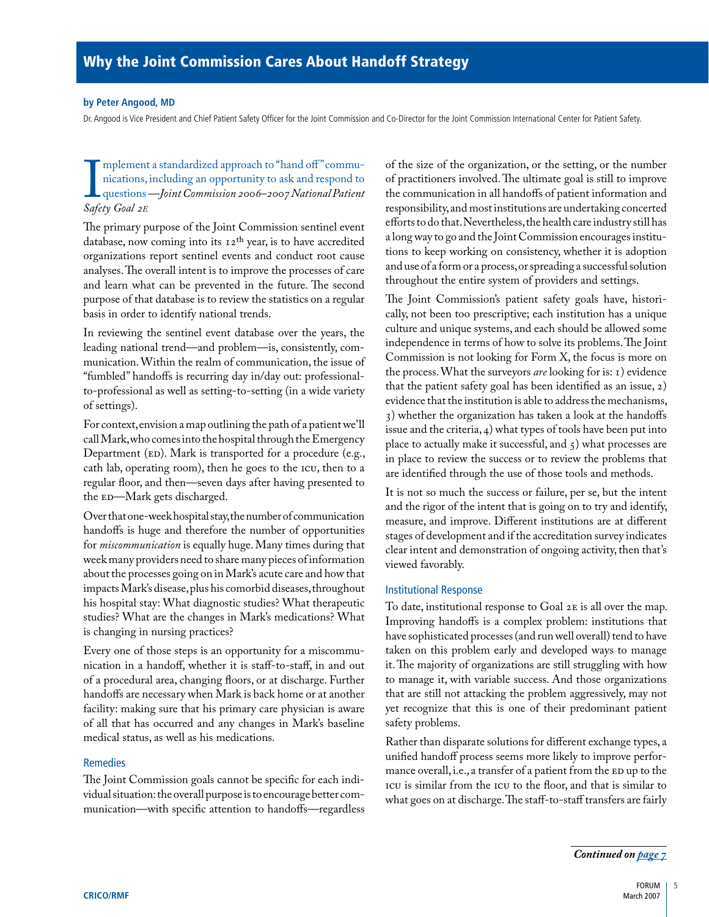#### <span id="page-6-0"></span>**by Peter Angood, MD**

Dr. Angood is Vice President and Chief Patient Safety Officer for the Joint Commission and Co-Director for the Joint Commission International Center for Patient Safety.

mperitent<br>
nications,<br> *Safety Goal 2E* mplement a standardized approach to "hand off" communications, including an opportunity to ask and respond to questions*—Joint Commission 2006–2007 National Patient* 

The primary purpose of the Joint Commission sentinel event database, now coming into its  $12<sup>th</sup>$  year, is to have accredited organizations report sentinel events and conduct root cause analyses. The overall intent is to improve the processes of care and learn what can be prevented in the future. The second purpose of that database is to review the statistics on a regular basis in order to identify national trends.

In reviewing the sentinel event database over the years, the leading national trend—and problem—is, consistently, communication. Within the realm of communication, the issue of "fumbled" handoffs is recurring day in/day out: professionalto-professional as well as setting-to-setting (in a wide variety of settings).

For context, envision a map outlining the path of a patient we'll call Mark, who comes into the hospital through the Emergency Department (ED). Mark is transported for a procedure (e.g., cath lab, operating room), then he goes to the ICU, then to a regular floor, and then—seven days after having presented to the ED—Mark gets discharged.

Over that one-week hospital stay, the number of communication handoffs is huge and therefore the number of opportunities for *miscommunication* is equally huge. Many times during that week many providers need to share many pieces of information about the processes going on in Mark's acute care and how that impacts Mark's disease, plus his comorbid diseases, throughout his hospital stay: What diagnostic studies? What therapeutic studies? What are the changes in Mark's medications? What is changing in nursing practices?

Every one of those steps is an opportunity for a miscommunication in a handoff, whether it is staff-to-staff, in and out of a procedural area, changing floors, or at discharge. Further handoffs are necessary when Mark is back home or at another facility: making sure that his primary care physician is aware of all that has occurred and any changes in Mark's baseline medical status, as well as his medications.

## Remedies

The Joint Commission goals cannot be specific for each individual situation: the overall purpose is to encourage better communication—with specific attention to handoffs—regardless of the size of the organization, or the setting, or the number of practitioners involved. The ultimate goal is still to improve the communication in all handoffs of patient information and responsibility, and most institutions are undertaking concerted efforts to do that. Nevertheless, the health care industry still has a long way to go and the Joint Commission encourages institutions to keep working on consistency, whether it is adoption and use of a form or a process, or spreading a successful solution throughout the entire system of providers and settings.

The Joint Commission's patient safety goals have, historically, not been too prescriptive; each institution has a unique culture and unique systems, and each should be allowed some independence in terms of how to solve its problems. The Joint Commission is not looking for Form X, the focus is more on the process. What the surveyors *are* looking for is: 1) evidence that the patient safety goal has been identified as an issue, 2) evidence that the institution is able to address the mechanisms, 3) whether the organization has taken a look at the handoffs issue and the criteria, 4) what types of tools have been put into place to actually make it successful, and  $\zeta$ ) what processes are in place to review the success or to review the problems that are identified through the use of those tools and methods.

It is not so much the success or failure, per se, but the intent and the rigor of the intent that is going on to try and identify, measure, and improve. Different institutions are at different stages of development and if the accreditation survey indicates clear intent and demonstration of ongoing activity, then that's viewed favorably.

#### Institutional Response

To date, institutional response to Goal 2E is all over the map. Improving handoffs is a complex problem: institutions that have sophisticated processes (and run well overall) tend to have taken on this problem early and developed ways to manage it. The majority of organizations are still struggling with how to manage it, with variable success. And those organizations that are still not attacking the problem aggressively, may not yet recognize that this is one of their predominant patient safety problems.

Rather than disparate solutions for different exchange types, a unified handoff process seems more likely to improve performance overall, i.e., a transfer of a patient from the ED up to the ICU is similar from the ICU to the floor, and that is similar to what goes on at discharge. The staff-to-staff transfers are fairly

*[Continued on page 7](#page-8-0)*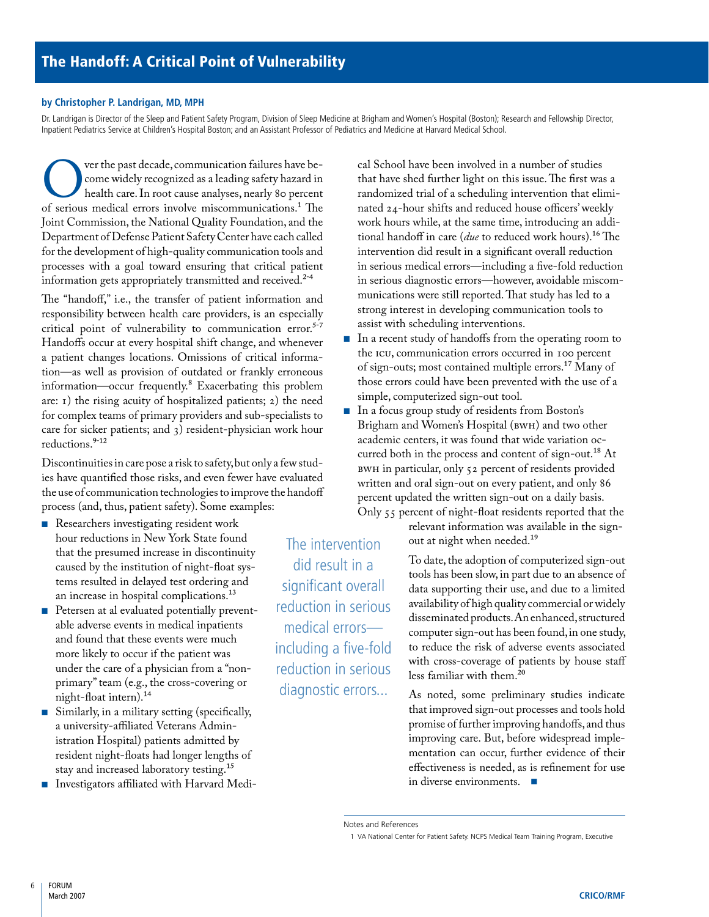#### <span id="page-7-0"></span>**by Christopher P. Landrigan, MD, MPH**

Dr. Landrigan is Director of the Sleep and Patient Safety Program, Division of Sleep Medicine at Brigham and Women's Hospital (Boston); Research and Fellowship Director, Inpatient Pediatrics Service at Children's Hospital Boston; and an Assistant Professor of Pediatrics and Medicine at Harvard Medical School.

Ver the past decade, communication failures have be-<br>
one widely recognized as a leading safety hazard in<br>
of serious medical errors involve miscommunications.<sup>1</sup> The come widely recognized as a leading safety hazard in health care. In root cause analyses, nearly 80 percent Joint Commission, the National Quality Foundation, and the Department of Defense Patient Safety Center have each called for the development of high-quality communication tools and processes with a goal toward ensuring that critical patient information gets appropriately transmitted and received.<sup>2-4</sup>

The "handoff," i.e., the transfer of patient information and responsibility between health care providers, is an especially critical point of vulnerability to communication error. $5-7$ Handoffs occur at every hospital shift change, and whenever a patient changes locations. Omissions of critical information—as well as provision of outdated or frankly erroneous information—occur frequently.8 Exacerbating this problem are: 1) the rising acuity of hospitalized patients; 2) the need for complex teams of primary providers and sub-specialists to care for sicker patients; and 3) resident-physician work hour reductions.9-12

Discontinuities in care pose a risk to safety, but only a few studies have quantified those risks, and even fewer have evaluated the use of communication technologies to improve the handoff process (and, thus, patient safety). Some examples:

- Researchers investigating resident work hour reductions in New York State found that the presumed increase in discontinuity caused by the institution of night-float systems resulted in delayed test ordering and an increase in hospital complications.<sup>13</sup>
- Petersen at al evaluated potentially preventable adverse events in medical inpatients and found that these events were much more likely to occur if the patient was under the care of a physician from a "nonprimary" team (e.g., the cross-covering or night-float intern).14 ■
- Similarly, in a military setting (specifically, a university-affiliated Veterans Administration Hospital) patients admitted by resident night-floats had longer lengths of stay and increased laboratory testing.15 ■
- Investigators affiliated with Harvard Medi- ■

The intervention did result in a significant overall reduction in serious medical errors including a five-fold reduction in serious diagnostic errors...

cal School have been involved in a number of studies that have shed further light on this issue. The first was a randomized trial of a scheduling intervention that eliminated 24-hour shifts and reduced house officers' weekly work hours while, at the same time, introducing an additional handoff in care (*due* to reduced work hours).16 The intervention did result in a significant overall reduction in serious medical errors—including a five-fold reduction in serious diagnostic errors—however, avoidable miscommunications were still reported. That study has led to a strong interest in developing communication tools to assist with scheduling interventions.

- In a recent study of handoffs from the operating room to the ICU, communication errors occurred in 100 percent of sign-outs; most contained multiple errors.17 Many of those errors could have been prevented with the use of a simple, computerized sign-out tool.
- In a focus group study of residents from Boston's Brigham and Women's Hospital (BWH) and two other academic centers, it was found that wide variation occurred both in the process and content of sign-out.<sup>18</sup> At BWH in particular, only 52 percent of residents provided written and oral sign-out on every patient, and only 86 percent updated the written sign-out on a daily basis. Only 55 percent of night-float residents reported that the

relevant information was available in the signout at night when needed.19

> To date, the adoption of computerized sign-out tools has been slow, in part due to an absence of data supporting their use, and due to a limited availability of high quality commercial or widely disseminated products. An enhanced, structured computer sign-out has been found, in one study, to reduce the risk of adverse events associated with cross-coverage of patients by house staff less familiar with them.<sup>20</sup>

> As noted, some preliminary studies indicate that improved sign-out processes and tools hold promise of further improving handoffs, and thus improving care. But, before widespread implementation can occur, further evidence of their effectiveness is needed, as is refinement for use in diverse environments. ■

Notes and References

<sup>1</sup> VA National Center for Patient Safety. NCPS Medical Team Training Program, Executive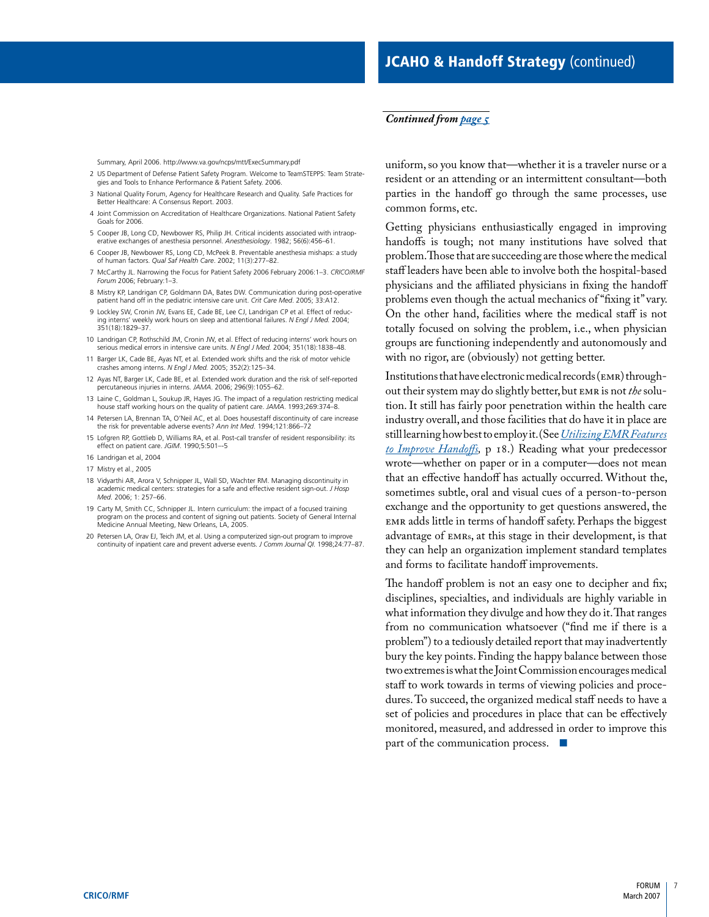### <span id="page-8-0"></span>*[Continued from page 5](#page-6-0)*

Summary, April 2006. http://www.va.gov/ncps/mtt/ExecSummary.pdf

- 2 US Department of Defense Patient Safety Program. Welcome to TeamSTEPPS: Team Strategies and Tools to Enhance Performance & Patient Safety. 2006.
- 3 National Quality Forum, Agency for Healthcare Research and Quality. Safe Practices for Better Healthcare: A Consensus Report. 2003.
- 4 Joint Commission on Accreditation of Healthcare Organizations. National Patient Safety Goals for 2006.
- 5 Cooper JB, Long CD, Newbower RS, Philip JH. Critical incidents associated with intraoperative exchanges of anesthesia personnel. *Anesthesiology*. 1982; 56(6):456–61.
- 6 Cooper JB, Newbower RS, Long CD, McPeek B. Preventable anesthesia mishaps: a study of human factors. *Qual Saf Health Care*. 2002; 11(3):277–82.
- 7 McCarthy JL. Narrowing the Focus for Patient Safety 2006 February 2006:1–3. *CRICO/RMF Forum* 2006; February:1–3.
- 8 Mistry KP, Landrigan CP, Goldmann DA, Bates DW. Communication during post-operative patient hand off in the pediatric intensive care unit. *Crit Care Med*. 2005; 33:A12.
- 9 Lockley SW, Cronin JW, Evans EE, Cade BE, Lee CJ, Landrigan CP et al. Effect of reducing interns' weekly work hours on sleep and attentional failures. *N Engl J Med.* 2004; 351(18):1829–37.
- 10 Landrigan CP, Rothschild JM, Cronin JW, et al. Effect of reducing interns' work hours on serious medical errors in intensive care units. *N Engl J Med.* 2004; 351(18):1838–48.
- 11 Barger LK, Cade BE, Ayas NT, et al. Extended work shifts and the risk of motor vehicle crashes among interns. *N Engl J Med.* 2005; 352(2):125–34.
- 12 Ayas NT, Barger LK, Cade BE, et al. Extended work duration and the risk of self-reported percutaneous injuries in interns. *JAMA*. 2006; 296(9):1055–62.
- 13 Laine C, Goldman L, Soukup JR, Hayes JG. The impact of a regulation restricting medical house staff working hours on the quality of patient care. *JAMA*. 1993;269:374–8.
- 14 Petersen LA, Brennan TA, O'Neil AC, et al. Does housestaff discontinuity of care increase the risk for preventable adverse events? *Ann Int Med*. 1994;121:866–72
- 15 Lofgren RP, Gottlieb D, Williams RA, et al. Post-call transfer of resident responsibility: its effect on patient care. *JGIM*. 1990;5:501–-5
- 16 Landrigan et al, 2004
- 17 Mistry et al., 2005
- 18 Vidyarthi AR, Arora V, Schnipper JL, Wall SD, Wachter RM. Managing discontinuity in academic medical centers: strategies for a safe and effective resident sign-out. *J Hosp Med*. 2006; 1: 257–66.
- 19 Carty M, Smith CC, Schnipper JL. Intern curriculum: the impact of a focused training program on the process and content of signing out patients. Society of General Internal Medicine Annual Meeting, New Orleans, LA, 2005.
- 20 Petersen LA, Orav EJ, Teich JM, et al. Using a computerized sign-out program to improve continuity of inpatient care and prevent adverse events. *J Comm Journal QI.* 1998;24:77–87.

uniform, so you know that—whether it is a traveler nurse or a resident or an attending or an intermittent consultant—both parties in the handoff go through the same processes, use common forms, etc.

Getting physicians enthusiastically engaged in improving handoffs is tough; not many institutions have solved that problem. Those that are succeeding are those where the medical staff leaders have been able to involve both the hospital-based physicians and the affiliated physicians in fixing the handoff problems even though the actual mechanics of "fixing it" vary. On the other hand, facilities where the medical staff is not totally focused on solving the problem, i.e., when physician groups are functioning independently and autonomously and with no rigor, are (obviously) not getting better.

Institutions that have electronic medical records (EMR) throughout their system may do slightly better, but EMR is not *the* solution. It still has fairly poor penetration within the health care industry overall, and those facilities that do have it in place are still learning how best to employ it. (See *[Utilizing EMR Features](#page-19-0)  to Improve Handoffs,* p 18.) Reading what your predecessor wrote—whether on paper or in a computer—does not mean that an effective handoff has actually occurred. Without the, sometimes subtle, oral and visual cues of a person-to-person exchange and the opportunity to get questions answered, the EMR adds little in terms of handoff safety. Perhaps the biggest advantage of EMRs, at this stage in their development, is that they can help an organization implement standard templates and forms to facilitate handoff improvements.

The handoff problem is not an easy one to decipher and fix; disciplines, specialties, and individuals are highly variable in what information they divulge and how they do it. That ranges from no communication whatsoever ("find me if there is a problem") to a tediously detailed report that may inadvertently bury the key points. Finding the happy balance between those two extremes is what the Joint Commission encourages medical staff to work towards in terms of viewing policies and procedures. To succeed, the organized medical staff needs to have a set of policies and procedures in place that can be effectively monitored, measured, and addressed in order to improve this part of the communication process.  $\blacksquare$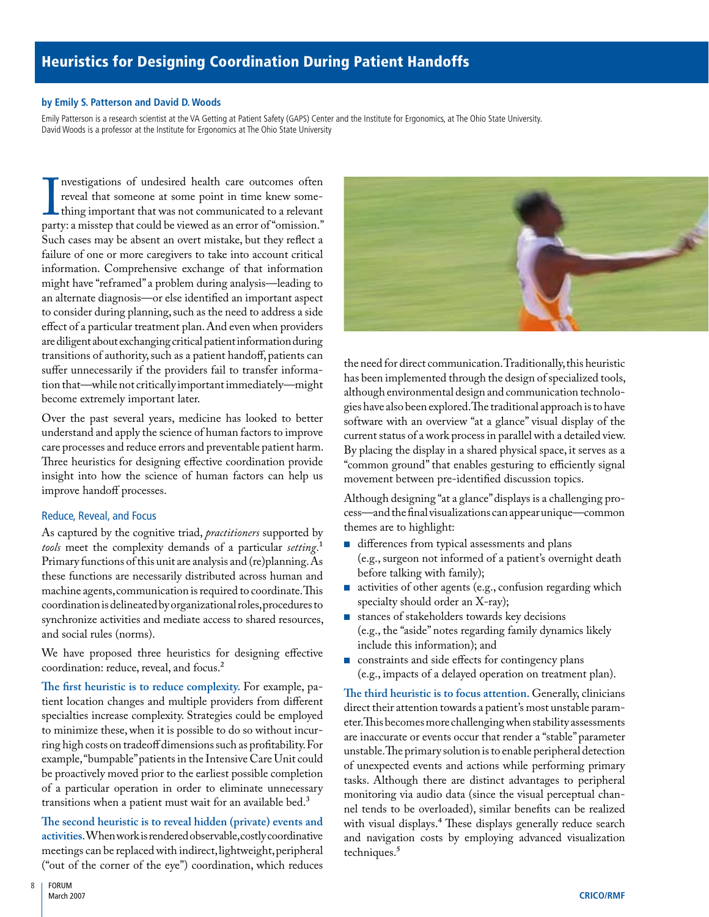# <span id="page-9-0"></span>Heuristics for Designing Coordination During Patient Handoffs

#### **by Emily S. Patterson and David D. Woods**

Emily Patterson is a research scientist at the VA Getting at Patient Safety (GAPS) Center and the Institute for Ergonomics, at The Ohio State University. David Woods is a professor at the Institute for Ergonomics at The Ohio State University

Investigations of undeslied feath care outcomes often<br>reveal that someone at some point in time knew some-<br>thing important that was not communicated to a relevant<br>party: a misstep that could be viewed as an error of "omiss nvestigations of undesired health care outcomes often reveal that someone at some point in time knew something important that was not communicated to a relevant Such cases may be absent an overt mistake, but they reflect a failure of one or more caregivers to take into account critical information. Comprehensive exchange of that information might have "reframed" a problem during analysis—leading to an alternate diagnosis—or else identified an important aspect to consider during planning, such as the need to address a side effect of a particular treatment plan. And even when providers are diligent about exchanging critical patient information during transitions of authority, such as a patient handoff, patients can suffer unnecessarily if the providers fail to transfer information that—while not critically important immediately—might become extremely important later.

Over the past several years, medicine has looked to better understand and apply the science of human factors to improve care processes and reduce errors and preventable patient harm. Three heuristics for designing effective coordination provide insight into how the science of human factors can help us improve handoff processes.

# Reduce, Reveal, and Focus

As captured by the cognitive triad, *practitioners* supported by *tools* meet the complexity demands of a particular *setting*.1 Primary functions of this unit are analysis and (re)planning. As these functions are necessarily distributed across human and machine agents, communication is required to coordinate. This coordination is delineated by organizational roles, procedures to synchronize activities and mediate access to shared resources, and social rules (norms).

We have proposed three heuristics for designing effective coordination: reduce, reveal, and focus.<sup>2</sup>

**The first heuristic is to reduce complexity.** For example, patient location changes and multiple providers from different specialties increase complexity. Strategies could be employed to minimize these, when it is possible to do so without incurring high costs on tradeoff dimensions such as profitability. For example, "bumpable" patients in the Intensive Care Unit could be proactively moved prior to the earliest possible completion of a particular operation in order to eliminate unnecessary transitions when a patient must wait for an available bed.<sup>3</sup>

**The second heuristic is to reveal hidden (private) events and activities.** When work is rendered observable, costly coordinative meetings can be replaced with indirect, lightweight, peripheral ("out of the corner of the eye") coordination, which reduces



the need for direct communication. Traditionally, this heuristic has been implemented through the design of specialized tools, although environmental design and communication technologies have also been explored. The traditional approach is to have software with an overview "at a glance" visual display of the current status of a work process in parallel with a detailed view. By placing the display in a shared physical space, it serves as a "common ground" that enables gesturing to efficiently signal movement between pre-identified discussion topics.

Although designing "at a glance" displays is a challenging process—and the final visualizations can appear unique—common themes are to highlight:

- differences from typical assessments and plans (e.g., surgeon not informed of a patient's overnight death before talking with family);
- activities of other agents (e.g., confusion regarding which specialty should order an X-ray); ■
- stances of stakeholders towards key decisions (e.g., the "aside" notes regarding family dynamics likely include this information); and ■
- constraints and side effects for contingency plans (e.g., impacts of a delayed operation on treatment plan).

**The third heuristic is to focus attention.** Generally, clinicians direct their attention towards a patient's most unstable parameter. This becomes more challenging when stability assessments are inaccurate or events occur that render a "stable" parameter unstable. The primary solution is to enable peripheral detection of unexpected events and actions while performing primary tasks. Although there are distinct advantages to peripheral monitoring via audio data (since the visual perceptual channel tends to be overloaded), similar benefits can be realized with visual displays.<sup>4</sup> These displays generally reduce search and navigation costs by employing advanced visualization techniques.<sup>5</sup>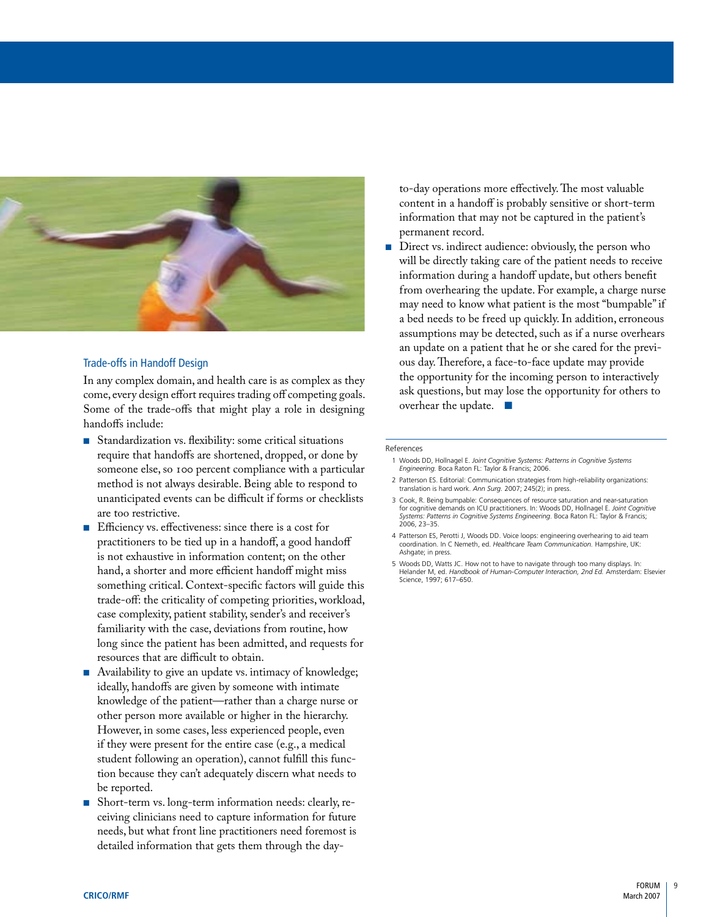

## Trade-offs in Handoff Design

In any complex domain, and health care is as complex as they come, every design effort requires trading off competing goals. Some of the trade-offs that might play a role in designing handoffs include:

- Standardization vs. flexibility: some critical situations require that handoffs are shortened, dropped, or done by someone else, so 100 percent compliance with a particular method is not always desirable. Being able to respond to unanticipated events can be difficult if forms or checklists are too restrictive.
- Efficiency vs. effectiveness: since there is a cost for practitioners to be tied up in a handoff, a good handoff is not exhaustive in information content; on the other hand, a shorter and more efficient handoff might miss something critical. Context-specific factors will guide this trade-off: the criticality of competing priorities, workload, case complexity, patient stability, sender's and receiver's familiarity with the case, deviations from routine, how long since the patient has been admitted, and requests for resources that are difficult to obtain.
- Availability to give an update vs. intimacy of knowledge; ideally, handoffs are given by someone with intimate knowledge of the patient—rather than a charge nurse or other person more available or higher in the hierarchy. However, in some cases, less experienced people, even if they were present for the entire case (e.g., a medical student following an operation), cannot fulfill this function because they can't adequately discern what needs to be reported. ■
- Short-term vs. long-term information needs: clearly, receiving clinicians need to capture information for future needs, but what front line practitioners need foremost is detailed information that gets them through the day-

to-day operations more effectively. The most valuable content in a handoff is probably sensitive or short-term information that may not be captured in the patient's permanent record.

Direct vs. indirect audience: obviously, the person who will be directly taking care of the patient needs to receive information during a handoff update, but others benefit from overhearing the update. For example, a charge nurse may need to know what patient is the most "bumpable" if a bed needs to be freed up quickly. In addition, erroneous assumptions may be detected, such as if a nurse overhears an update on a patient that he or she cared for the previous day. Therefore, a face-to-face update may provide the opportunity for the incoming person to interactively ask questions, but may lose the opportunity for others to overhear the update. ■ ■

#### References

- 1 Woods DD, Hollnagel E. *Joint Cognitive Systems: Patterns in Cognitive Systems Engineering.* Boca Raton FL: Taylor & Francis; 2006.
- 2 Patterson ES. Editorial: Communication strategies from high-reliability organizations: translation is hard work. *Ann Surg.* 2007; 245(2); in press.
- 3 Cook, R. Being bumpable: Consequences of resource saturation and near-saturation for cognitive demands on ICU practitioners. In: Woods DD, Hollnagel E. *Joint Cognitive Systems: Patterns in Cognitive Systems Engineering.* Boca Raton FL: Taylor & Francis; 2006, 23–35.
- 4 Patterson ES, Perotti J, Woods DD. Voice loops: engineering overhearing to aid team coordination. In C Nemeth, ed. *Healthcare Team Communication.* Hampshire, UK: Ashgate; in press.
- 5 Woods DD, Watts JC. How not to have to navigate through too many displays. In: Helander M, ed. *Handbook of Human-Computer Interaction, 2nd Ed.* Amsterdam: Elsevier Science, 1997; 617–650.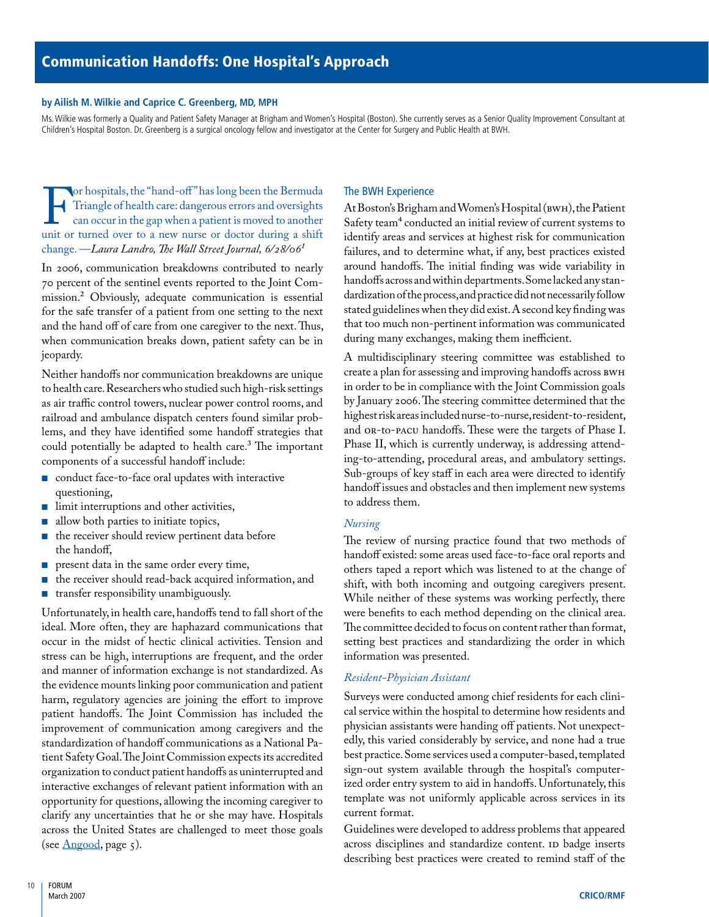#### <span id="page-11-0"></span>**by Ailish M. Wilkie and Caprice C. Greenberg, MD, MPH**

Ms. Wilkie was formerly a Quality and Patient Safety Manager at Brigham and Women's Hospital (Boston). She currently serves as a Senior Quality Improvement Consultant at Children's Hospital Boston. Dr. Greenberg is a surgical oncology fellow and investigator at the Center for Surgery and Public Health at BWH.

For hospitals, the "hand-oft" has long been the Bermuda<br>
Triangle of health care: dangerous errors and oversights<br>
can occur in the gap when a patient is moved to another<br>
unit or turned over to a new nurse or doctor durin Triangle of health care: dangerous errors and oversights can occur in the gap when a patient is moved to another change. —*Laura Landro, The Wall Street Journal, 6/28/061*

In 2006, communication breakdowns contributed to nearly 70 percent of the sentinel events reported to the Joint Commission.2 Obviously, adequate communication is essential for the safe transfer of a patient from one setting to the next and the hand off of care from one caregiver to the next. Thus, when communication breaks down, patient safety can be in jeopardy.

Neither handoffs nor communication breakdowns are unique to health care. Researchers who studied such high-risk settings as air traffic control towers, nuclear power control rooms, and railroad and ambulance dispatch centers found similar problems, and they have identified some handoff strategies that could potentially be adapted to health care.3 The important components of a successful handoff include:

- conduct face-to-face oral updates with interactive questioning,
- limit interruptions and other activities,
- allow both parties to initiate topics, ■
- the receiver should review pertinent data before the handoff,
- present data in the same order every time,
- the receiver should read-back acquired information, and
- transfer responsibility unambiguously. ■

Unfortunately, in health care, handoffs tend to fall short of the ideal. More often, they are haphazard communications that occur in the midst of hectic clinical activities. Tension and stress can be high, interruptions are frequent, and the order and manner of information exchange is not standardized. As the evidence mounts linking poor communication and patient harm, regulatory agencies are joining the effort to improve patient handoffs. The Joint Commission has included the improvement of communication among caregivers and the standardization of handoff communications as a National Patient Safety Goal. The Joint Commission expects its accredited organization to conduct patient handoffs as uninterrupted and interactive exchanges of relevant patient information with an opportunity for questions, allowing the incoming caregiver to clarify any uncertainties that he or she may have. Hospitals across the United States are challenged to meet those goals (see  $\Delta$ ngood, page 5).

#### The BWH Experience

At Boston's Brigham and Women's Hospital (BWH), the Patient Safety team<sup>4</sup> conducted an initial review of current systems to identify areas and services at highest risk for communication failures, and to determine what, if any, best practices existed around handoffs. The initial finding was wide variability in handoffs across and within departments. Some lacked any standardization of the process, and practice did not necessarily follow stated guidelines when they did exist. A second key finding was that too much non-pertinent information was communicated during many exchanges, making them inefficient.

A multidisciplinary steering committee was established to create a plan for assessing and improving handoffs across BWH in order to be in compliance with the Joint Commission goals by January 2006. The steering committee determined that the highest risk areas included nurse-to-nurse, resident-to-resident, and OR-to-PACU handoffs. These were the targets of Phase I. Phase II, which is currently underway, is addressing attending-to-attending, procedural areas, and ambulatory settings. Sub-groups of key staff in each area were directed to identify handoff issues and obstacles and then implement new systems to address them.

#### *Nursing*

The review of nursing practice found that two methods of handoff existed: some areas used face-to-face oral reports and others taped a report which was listened to at the change of shift, with both incoming and outgoing caregivers present. While neither of these systems was working perfectly, there were benefits to each method depending on the clinical area. The committee decided to focus on content rather than format, setting best practices and standardizing the order in which information was presented.

#### *Resident-Physician Assistant*

Surveys were conducted among chief residents for each clinical service within the hospital to determine how residents and physician assistants were handing off patients. Not unexpectedly, this varied considerably by service, and none had a true best practice. Some services used a computer-based, templated sign-out system available through the hospital's computerized order entry system to aid in handoffs. Unfortunately, this template was not uniformly applicable across services in its current format.

Guidelines were developed to address problems that appeared across disciplines and standardize content. ID badge inserts describing best practices were created to remind staff of the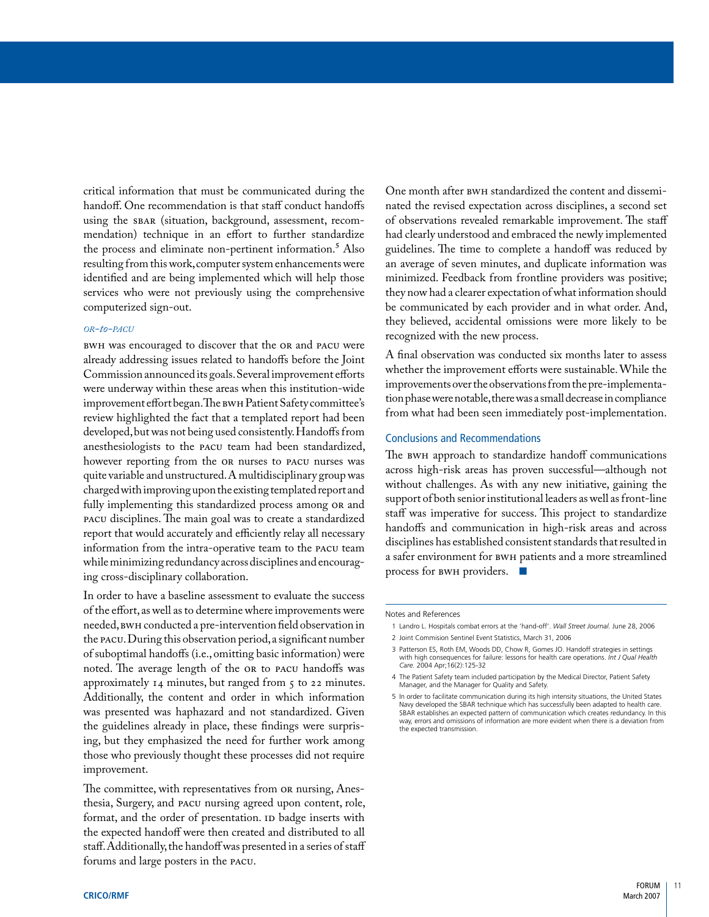critical information that must be communicated during the handoff. One recommendation is that staff conduct handoffs using the SBAR (situation, background, assessment, recommendation) technique in an effort to further standardize the process and eliminate non-pertinent information.<sup>5</sup> Also resulting from this work, computer system enhancements were identified and are being implemented which will help those services who were not previously using the comprehensive computerized sign-out.

#### *or-to-pacu*

BWH was encouraged to discover that the OR and PACU were already addressing issues related to handoffs before the Joint Commission announced its goals. Several improvement efforts were underway within these areas when this institution-wide improvement effort began. The BWH Patient Safety committee's review highlighted the fact that a templated report had been developed, but was not being used consistently. Handoffs from anesthesiologists to the PACU team had been standardized, however reporting from the OR nurses to PACU nurses was quite variable and unstructured. A multidisciplinary group was charged with improving upon the existing templated report and fully implementing this standardized process among OR and PACU disciplines. The main goal was to create a standardized report that would accurately and efficiently relay all necessary information from the intra-operative team to the PACU team while minimizing redundancy across disciplines and encouraging cross-disciplinary collaboration.

In order to have a baseline assessment to evaluate the success of the effort, as well as to determine where improvements were needed, BWH conducted a pre-intervention field observation in the PACU. During this observation period, a significant number of suboptimal handoffs (i.e., omitting basic information) were noted. The average length of the OR to PACU handoffs was approximately 14 minutes, but ranged from 5 to 22 minutes. Additionally, the content and order in which information was presented was haphazard and not standardized. Given the guidelines already in place, these findings were surprising, but they emphasized the need for further work among those who previously thought these processes did not require improvement.

The committee, with representatives from OR nursing, Anesthesia, Surgery, and PACU nursing agreed upon content, role, format, and the order of presentation. ID badge inserts with the expected handoff were then created and distributed to all staff. Additionally, the handoff was presented in a series of staff forums and large posters in the PACU.

One month after BWH standardized the content and disseminated the revised expectation across disciplines, a second set of observations revealed remarkable improvement. The staff had clearly understood and embraced the newly implemented guidelines. The time to complete a handoff was reduced by an average of seven minutes, and duplicate information was minimized. Feedback from frontline providers was positive; they now had a clearer expectation of what information should be communicated by each provider and in what order. And, they believed, accidental omissions were more likely to be recognized with the new process.

A final observation was conducted six months later to assess whether the improvement efforts were sustainable. While the improvements over the observations from the pre-implementation phase were notable, there was a small decrease in compliance from what had been seen immediately post-implementation.

#### Conclusions and Recommendations

The BWH approach to standardize handoff communications across high-risk areas has proven successful—although not without challenges. As with any new initiative, gaining the support of both senior institutional leaders as well as front-line staff was imperative for success. This project to standardize handoffs and communication in high-risk areas and across disciplines has established consistent standards that resulted in a safer environment for BWH patients and a more streamlined process for BWH providers. ■

#### Notes and References

- 1 Landro L. Hospitals combat errors at the 'hand-off'. *Wall Street Journal.* June 28, 2006
- 2 Joint Commision Sentinel Event Statistics, March 31, 2006
- 3 Patterson ES, Roth EM, Woods DD, Chow R, Gomes JO. Handoff strategies in settings with high consequences for failure: lessons for health care operations. *Int J Qual Health Care.* 2004 Apr;16(2):125-32
- 4 The Patient Safety team included participation by the Medical Director, Patient Safety Manager, and the Manager for Quality and Safety.
- 5 In order to facilitate communication during its high intensity situations, the United States Navy developed the SBAR technique which has successfully been adapted to health care. SBAR establishes an expected pattern of communication which creates redundancy. In this way, errors and omissions of information are more evident when there is a deviation from the expected transmission.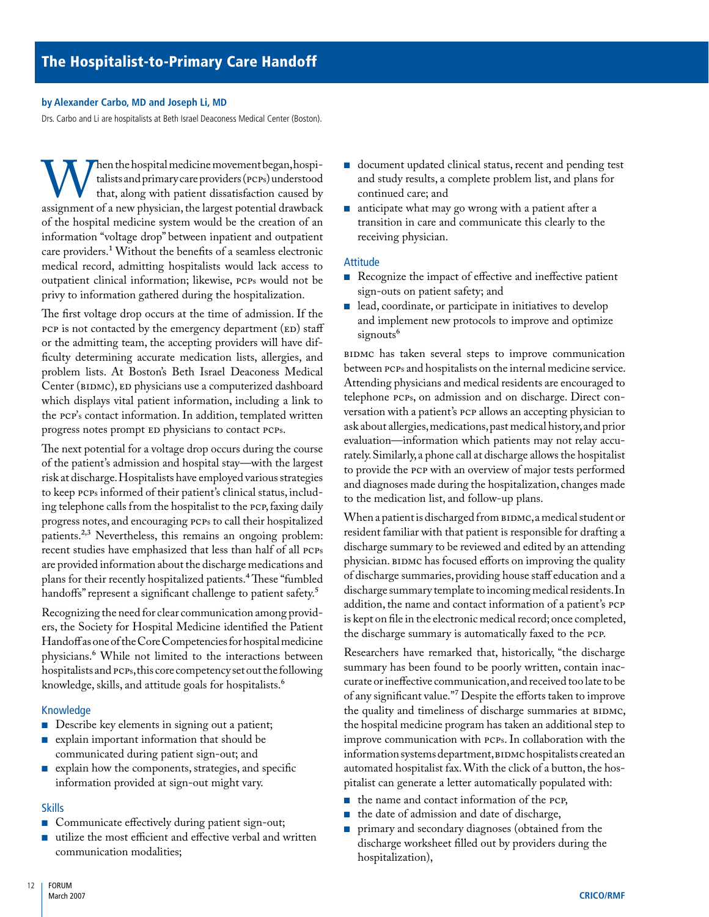### <span id="page-13-0"></span>**by Alexander Carbo, MD and Joseph Li, MD**

Drs. Carbo and Li are hospitalists at Beth Israel Deaconess Medical Center (Boston).

When the hospital medicine movement began, hospitalists and primary care providers (PCPs) understood that, along with patient dissatisfaction caused by assignment of a new physician, the largest potential drawback talists and primary care providers (PCPs) understood that, along with patient dissatisfaction caused by of the hospital medicine system would be the creation of an information "voltage drop" between inpatient and outpatient care providers.1 Without the benefits of a seamless electronic medical record, admitting hospitalists would lack access to outpatient clinical information; likewise, PCPs would not be privy to information gathered during the hospitalization.

The first voltage drop occurs at the time of admission. If the PCP is not contacted by the emergency department (ED) staff or the admitting team, the accepting providers will have difficulty determining accurate medication lists, allergies, and problem lists. At Boston's Beth Israel Deaconess Medical Center (BIDMC), ED physicians use a computerized dashboard which displays vital patient information, including a link to the PCP's contact information. In addition, templated written progress notes prompt ED physicians to contact PCPs.

The next potential for a voltage drop occurs during the course of the patient's admission and hospital stay—with the largest risk at discharge. Hospitalists have employed various strategies to keep PCPs informed of their patient's clinical status, including telephone calls from the hospitalist to the PCP, faxing daily progress notes, and encouraging PCPs to call their hospitalized patients.<sup>2,3</sup> Nevertheless, this remains an ongoing problem: recent studies have emphasized that less than half of all PCPs are provided information about the discharge medications and plans for their recently hospitalized patients.<sup>4</sup> These "fumbled handoffs" represent a significant challenge to patient safety.<sup>5</sup>

Recognizing the need for clear communication among providers, the Society for Hospital Medicine identified the Patient Handoff as one of the Core Competencies for hospital medicine physicians.6 While not limited to the interactions between hospitalists and PCPs, this core competency set out the following knowledge, skills, and attitude goals for hospitalists.<sup>6</sup>

#### Knowledge

- Describe key elements in signing out a patient;
- explain important information that should be communicated during patient sign-out; and
- explain how the components, strategies, and specific information provided at sign-out might vary.

# Skills

- Communicate effectively during patient sign-out;
- utilize the most efficient and effective verbal and written communication modalities;
- document updated clinical status, recent and pending test and study results, a complete problem list, and plans for continued care; and
- anticipate what may go wrong with a patient after a transition in care and communicate this clearly to the receiving physician. ■

# Attitude

- Recognize the impact of effective and ineffective patient sign-outs on patient safety; and
- lead, coordinate, or participate in initiatives to develop and implement new protocols to improve and optimize signouts<sup>6</sup> ■

BIDMC has taken several steps to improve communication between PCPs and hospitalists on the internal medicine service. Attending physicians and medical residents are encouraged to telephone PCPs, on admission and on discharge. Direct conversation with a patient's PCP allows an accepting physician to ask about allergies, medications, past medical history, and prior evaluation—information which patients may not relay accurately. Similarly, a phone call at discharge allows the hospitalist to provide the PCP with an overview of major tests performed and diagnoses made during the hospitalization, changes made to the medication list, and follow-up plans.

When a patient is discharged from BIDMC, a medical student or resident familiar with that patient is responsible for drafting a discharge summary to be reviewed and edited by an attending physician. BIDMC has focused efforts on improving the quality of discharge summaries, providing house staff education and a discharge summary template to incoming medical residents. In addition, the name and contact information of a patient's PCP is kept on file in the electronic medical record; once completed, the discharge summary is automatically faxed to the PCP.

Researchers have remarked that, historically, "the discharge summary has been found to be poorly written, contain inaccurate or ineffective communication, and received too late to be of any significant value."7 Despite the efforts taken to improve the quality and timeliness of discharge summaries at BIDMC, the hospital medicine program has taken an additional step to improve communication with PCPs. In collaboration with the information systems department, BIDMC hospitalists created an automated hospitalist fax. With the click of a button, the hospitalist can generate a letter automatically populated with:

- the name and contact information of the PCP,
- the date of admission and date of discharge, ■
- primary and secondary diagnoses (obtained from the discharge worksheet filled out by providers during the hospitalization), ■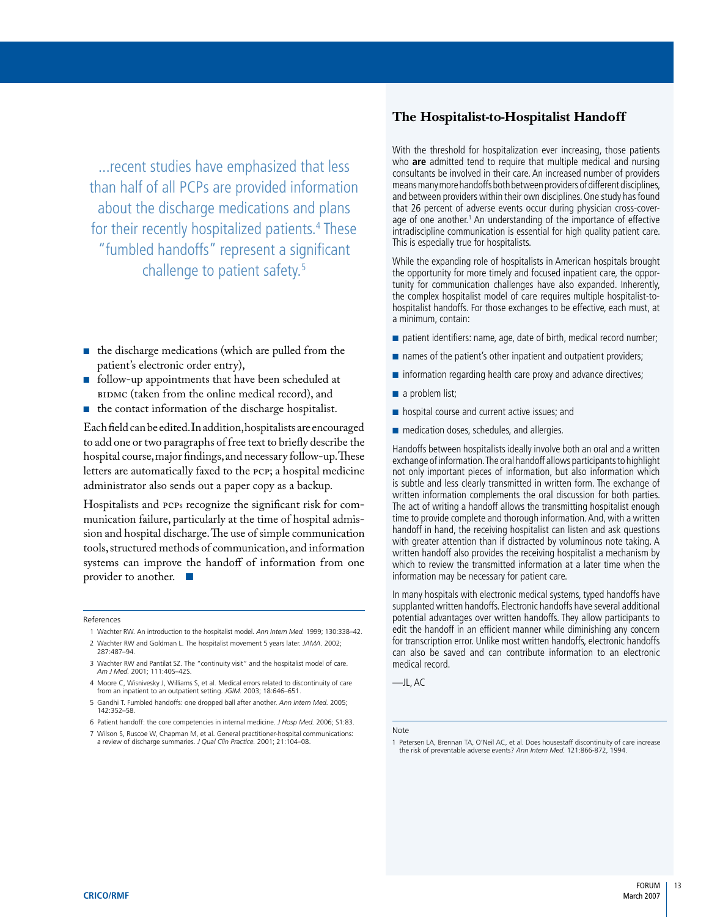...recent studies have emphasized that less than half of all PCPs are provided information about the discharge medications and plans for their recently hospitalized patients.<sup>4</sup> These "fumbled handoffs" represent a significant challenge to patient safety.5

- the discharge medications (which are pulled from the patient's electronic order entry),
- follow-up appointments that have been scheduled at BIDMC (taken from the online medical record), and ■
- the contact information of the discharge hospitalist.

Each field can be edited. In addition, hospitalists are encouraged to add one or two paragraphs of free text to briefly describe the hospital course, major findings, and necessary follow-up. These letters are automatically faxed to the PCP; a hospital medicine administrator also sends out a paper copy as a backup.

Hospitalists and PCPs recognize the significant risk for communication failure, particularly at the time of hospital admission and hospital discharge. The use of simple communication tools, structured methods of communication, and information systems can improve the handoff of information from one provider to another. ■

#### References

- 1 Wachter RW. An introduction to the hospitalist model. *Ann Intern Med.* 1999; 130:338–42.
- 2 Wachter RW and Goldman L. The hospitalist movement 5 years later. *JAMA.* 2002; 287:487–94.
- 3 Wachter RW and Pantilat SZ. The "continuity visit" and the hospitalist model of care. *Am J Med.* 2001; 111:40S–42S.
- 4 Moore C, Wisnivesky J, Williams S, et al. Medical errors related to discontinuity of care from an inpatient to an outpatient setting. *JGIM.* 2003; 18:646–651.
- 5 Gandhi T. Fumbled handoffs: one dropped ball after another. *Ann Intern Med.* 2005; 142:352–58.
- 6 Patient handoff: the core competencies in internal medicine. *J Hosp Med.* 2006; S1:83. 7 Wilson S, Ruscoe W, Chapman M, et al. General practitioner-hospital communications:
- a review of discharge summaries. *J Qual Clin Practice.* 2001; 21:104–08.

# **The Hospitalist-to-Hospitalist Handoff**

With the threshold for hospitalization ever increasing, those patients who **are** admitted tend to require that multiple medical and nursing consultants be involved in their care. An increased number of providers means many more handoffs both between providers of different disciplines, and between providers within their own disciplines. One study has found that 26 percent of adverse events occur during physician cross-coverage of one another.<sup>1</sup> An understanding of the importance of effective intradiscipline communication is essential for high quality patient care. This is especially true for hospitalists.

While the expanding role of hospitalists in American hospitals brought the opportunity for more timely and focused inpatient care, the opportunity for communication challenges have also expanded. Inherently, the complex hospitalist model of care requires multiple hospitalist-tohospitalist handoffs. For those exchanges to be effective, each must, at a minimum, contain:

- patient identifiers: name, age, date of birth, medical record number;
- names of the patient's other inpatient and outpatient providers;
- information regarding health care proxy and advance directives;
- a problem list;
- hospital course and current active issues; and
- medication doses, schedules, and allergies.

Handoffs between hospitalists ideally involve both an oral and a written exchange of information. The oral handoff allows participants to highlight not only important pieces of information, but also information which is subtle and less clearly transmitted in written form. The exchange of written information complements the oral discussion for both parties. The act of writing a handoff allows the transmitting hospitalist enough time to provide complete and thorough information. And, with a written handoff in hand, the receiving hospitalist can listen and ask questions with greater attention than if distracted by voluminous note taking. A written handoff also provides the receiving hospitalist a mechanism by which to review the transmitted information at a later time when the information may be necessary for patient care.

In many hospitals with electronic medical systems, typed handoffs have supplanted written handoffs. Electronic handoffs have several additional potential advantages over written handoffs. They allow participants to edit the handoff in an efficient manner while diminishing any concern for transcription error. Unlike most written handoffs, electronic handoffs can also be saved and can contribute information to an electronic medical record.

—JL, AC

Note

<sup>1</sup> Petersen LA, Brennan TA, O'Neil AC, et al. Does housestaff discontinuity of care increase the risk of preventable adverse events? *Ann Intern Med.* 121:866-872, 1994.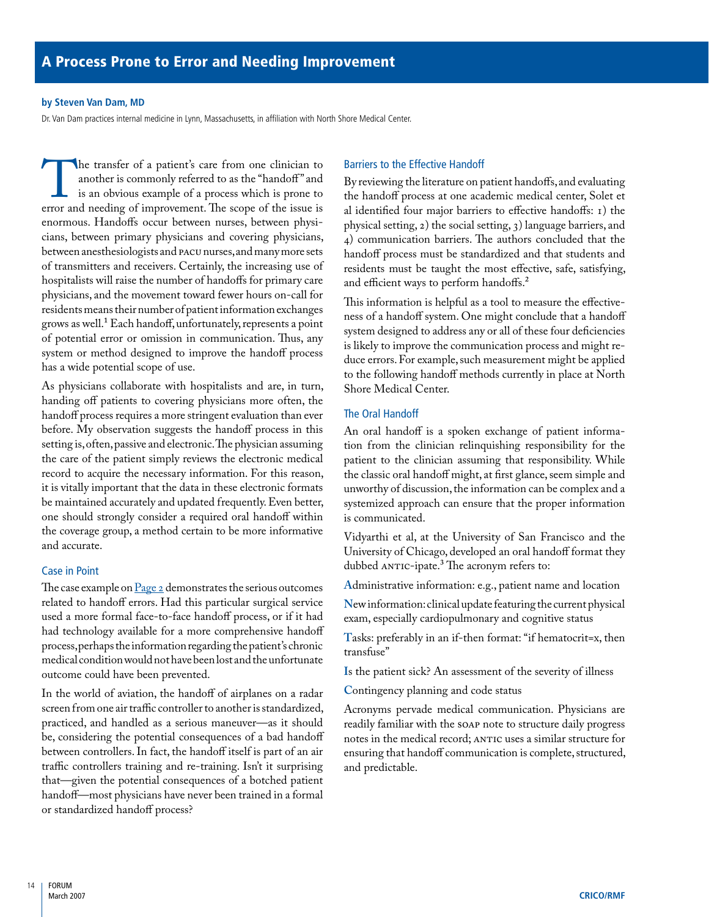#### <span id="page-15-0"></span>**by Steven Van Dam, MD**

Dr. Van Dam practices internal medicine in Lynn, Massachusetts, in affiliation with North Shore Medical Center.

The transfer of a patient's care from one clinician to another is commonly referred to as the "handoff" and is an obvious example of a process which is prone to error and needing of improvement. The scope of the issue is another is commonly referred to as the "handoff" and is an obvious example of a process which is prone to enormous. Handoffs occur between nurses, between physicians, between primary physicians and covering physicians, between anesthesiologists and PACU nurses, and many more sets of transmitters and receivers. Certainly, the increasing use of hospitalists will raise the number of handoffs for primary care physicians, and the movement toward fewer hours on-call for residents means their number of patient information exchanges grows as well.<sup>1</sup> Each handoff, unfortunately, represents a point of potential error or omission in communication. Thus, any system or method designed to improve the handoff process has a wide potential scope of use.

As physicians collaborate with hospitalists and are, in turn, handing off patients to covering physicians more often, the handoff process requires a more stringent evaluation than ever before. My observation suggests the handoff process in this setting is, often, passive and electronic. The physician assuming the care of the patient simply reviews the electronic medical record to acquire the necessary information. For this reason, it is vitally important that the data in these electronic formats be maintained accurately and updated frequently. Even better, one should strongly consider a required oral handoff within the coverage group, a method certain to be more informative and accurate.

#### Case in Point

The case example on  $\frac{\text{Page 2}}{\text{degree 2}}$  demonstrates the serious outcomes related to handoff errors. Had this particular surgical service used a more formal face-to-face handoff process, or if it had had technology available for a more comprehensive handoff process, perhaps the information regarding the patient's chronic medical condition would not have been lost and the unfortunate outcome could have been prevented.

In the world of aviation, the handoff of airplanes on a radar screen from one air traffic controller to another is standardized, practiced, and handled as a serious maneuver—as it should be, considering the potential consequences of a bad handoff between controllers. In fact, the handoff itself is part of an air traffic controllers training and re-training. Isn't it surprising that—given the potential consequences of a botched patient handoff—most physicians have never been trained in a formal or standardized handoff process?

## Barriers to the Effective Handoff

By reviewing the literature on patient handoffs, and evaluating the handoff process at one academic medical center, Solet et al identified four major barriers to effective handoffs: 1) the physical setting, 2) the social setting, 3) language barriers, and 4) communication barriers. The authors concluded that the handoff process must be standardized and that students and residents must be taught the most effective, safe, satisfying, and efficient ways to perform handoffs.<sup>2</sup>

This information is helpful as a tool to measure the effectiveness of a handoff system. One might conclude that a handoff system designed to address any or all of these four deficiencies is likely to improve the communication process and might reduce errors. For example, such measurement might be applied to the following handoff methods currently in place at North Shore Medical Center.

# The Oral Handoff

An oral handoff is a spoken exchange of patient information from the clinician relinquishing responsibility for the patient to the clinician assuming that responsibility. While the classic oral handoff might, at first glance, seem simple and unworthy of discussion, the information can be complex and a systemized approach can ensure that the proper information is communicated.

Vidyarthi et al, at the University of San Francisco and the University of Chicago, developed an oral handoff format they dubbed ANTIC-ipate.<sup>3</sup> The acronym refers to:

**A**dministrative information: e.g., patient name and location

**N**ew information: clinical update featuring the current physical exam, especially cardiopulmonary and cognitive status

**T**asks: preferably in an if-then format: "if hematocrit=x, then transfuse"

**I**s the patient sick? An assessment of the severity of illness

**C**ontingency planning and code status

Acronyms pervade medical communication. Physicians are readily familiar with the SOAP note to structure daily progress notes in the medical record; ANTIC uses a similar structure for ensuring that handoff communication is complete, structured, and predictable.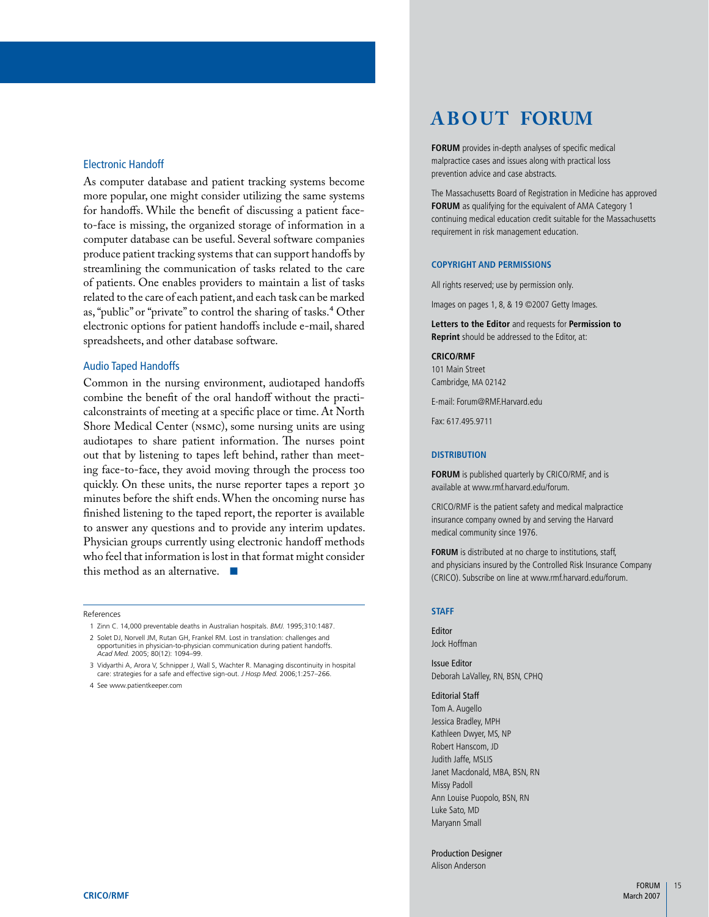#### Electronic Handoff

As computer database and patient tracking systems become more popular, one might consider utilizing the same systems for handoffs. While the benefit of discussing a patient faceto-face is missing, the organized storage of information in a computer database can be useful. Several software companies produce patient tracking systems that can support handoffs by streamlining the communication of tasks related to the care of patients. One enables providers to maintain a list of tasks related to the care of each patient, and each task can be marked as, "public" or "private" to control the sharing of tasks.<sup>4</sup> Other electronic options for patient handoffs include e-mail, shared spreadsheets, and other database software.

#### Audio Taped Handoffs

Common in the nursing environment, audiotaped handoffs combine the benefit of the oral handoff without the practicalconstraints of meeting at a specific place or time. At North Shore Medical Center (NSMC), some nursing units are using audiotapes to share patient information. The nurses point out that by listening to tapes left behind, rather than meeting face-to-face, they avoid moving through the process too quickly. On these units, the nurse reporter tapes a report 30 minutes before the shift ends. When the oncoming nurse has finished listening to the taped report, the reporter is available to answer any questions and to provide any interim updates. Physician groups currently using electronic handoff methods who feel that information is lost in that format might consider this method as an alternative. ■

References

2. Solet DJ, Norvell JM, Rutan GH, Frankel RM. Lost in translation: challenges and opportunities in physician-to-physician communication during patient handoffs. *Acad Med.* 2005; 80(12): 1094–99.

 3 Vidyarthi A, Arora V, Schnipper J, Wall S, Wachter R. Managing discontinuity in hospital care: strategies for a safe and effective sign-out. *J Hosp Med.* 2006;1:257–266.

 4 See www.patientkeeper.com

# **ABOUT FORUM**

**FORUM** provides in-depth analyses of specific medical malpractice cases and issues along with practical loss prevention advice and case abstracts.

The Massachusetts Board of Registration in Medicine has approved **FORUM** as qualifying for the equivalent of AMA Category 1 continuing medical education credit suitable for the Massachusetts requirement in risk management education.

#### **Copyright and Permissions**

All rights reserved; use by permission only.

Images on pages 1, 8, & 19 ©2007 Getty Images.

**Letters to the Editor** and requests for **Permission to Reprint** should be addressed to the Editor, at:

#### **CRICO/RMF**

101 Main Street Cambridge, MA 02142

E-mail: Forum@RMF.Harvard.edu

Fax: 617.495.9711

#### **Distribution**

**FORUM** is published quarterly by CRICO/RMF, and is available at www.rmf.harvard.edu/forum.

CRICO/RMF is the patient safety and medical malpractice insurance company owned by and serving the Harvard medical community since 1976.

**FORUM** is distributed at no charge to institutions, staff, and physicians insured by the Controlled Risk Insurance Company (CRICO). Subscribe on line at www.rmf.harvard.edu/forum.

#### **Staff**

Editor Jock Hoffman

Issue Editor Deborah LaValley, RN, BSN, CPHQ

Editorial Staff Tom A. Augello Jessica Bradley, MPH Kathleen Dwyer, MS, NP Robert Hanscom, JD Judith Jaffe, MSLIS Janet Macdonald, MBA, BSN, RN Missy Padoll Ann Louise Puopolo, BSN, RN Luke Sato, MD Maryann Small

Production Designer Alison Anderson

 <sup>1</sup> Zinn C. 14,000 preventable deaths in Australian hospitals. *BMJ.* 1995;310:1487.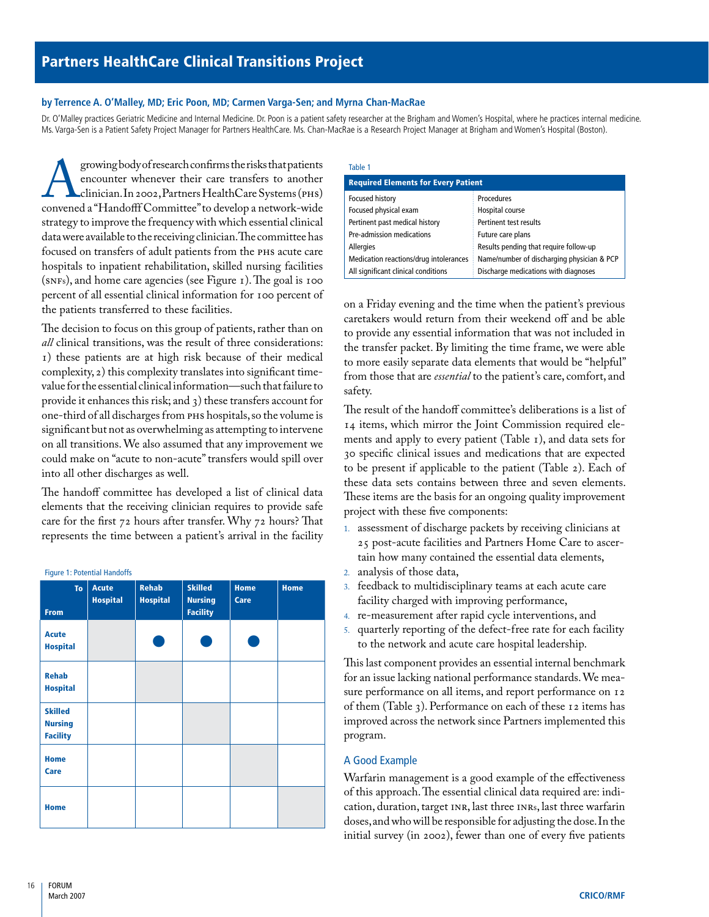#### <span id="page-17-0"></span>**by Terrence A. O'Malley, MD; Eric Poon, MD; Carmen Varga-Sen; and Myrna Chan-MacRae**

Dr. O'Malley practices Geriatric Medicine and Internal Medicine. Dr. Poon is a patient safety researcher at the Brigham and Women's Hospital, where he practices internal medicine. Ms. Varga-Sen is a Patient Safety Project Manager for Partners HealthCare. Ms. Chan-MacRae is a Research Project Manager at Brigham and Women's Hospital (Boston).

growing body of research confirms the risks that patients<br>encounter whenever their care transfers to another<br>clinician. In 2002, Partners HealthCare Systems (PHS)<br>convened a "Handofff Committee" to develop a network-wide encounter whenever their care transfers to another clinician. In 2002, Partners HealthCare Systems (PHS) convened a "Handofff Committee" to develop a network-wide strategy to improve the frequency with which essential clinical data were available to the receiving clinician. The committee has focused on transfers of adult patients from the PHS acute care hospitals to inpatient rehabilitation, skilled nursing facilities (SNFs), and home care agencies (see Figure 1). The goal is 100 percent of all essential clinical information for 100 percent of the patients transferred to these facilities.

The decision to focus on this group of patients, rather than on *all* clinical transitions, was the result of three considerations: 1) these patients are at high risk because of their medical complexity, 2) this complexity translates into significant timevalue for the essential clinical information—such that failure to provide it enhances this risk; and 3) these transfers account for one-third of all discharges from PHS hospitals, so the volume is significant but not as overwhelming as attempting to intervene on all transitions. We also assumed that any improvement we could make on "acute to non-acute" transfers would spill over into all other discharges as well.

The handoff committee has developed a list of clinical data elements that the receiving clinician requires to provide safe care for the first 72 hours after transfer. Why 72 hours? That represents the time between a patient's arrival in the facility

#### Figure 1: Potential Handoffs

| <b>To</b><br><b>From</b>                            | <b>Acute</b><br><b>Hospital</b> | <b>Rehab</b><br><b>Hospital</b> | <b>Skilled</b><br><b>Nursing</b><br><b>Facility</b> | <b>Home</b><br>Care | Home |
|-----------------------------------------------------|---------------------------------|---------------------------------|-----------------------------------------------------|---------------------|------|
| <b>Acute</b><br><b>Hospital</b>                     |                                 |                                 |                                                     |                     |      |
| <b>Rehab</b><br><b>Hospital</b>                     |                                 |                                 |                                                     |                     |      |
| <b>Skilled</b><br><b>Nursing</b><br><b>Facility</b> |                                 |                                 |                                                     |                     |      |
| <b>Home</b><br><b>Care</b>                          |                                 |                                 |                                                     |                     |      |
| <b>Home</b>                                         |                                 |                                 |                                                     |                     |      |

#### Table 1

| <b>Required Elements for Every Patient</b> |                                            |  |  |  |
|--------------------------------------------|--------------------------------------------|--|--|--|
| <b>Focused history</b>                     | <b>Procedures</b>                          |  |  |  |
| Focused physical exam                      | Hospital course                            |  |  |  |
| Pertinent past medical history             | Pertinent test results                     |  |  |  |
| Pre-admission medications                  | Future care plans                          |  |  |  |
| <b>Allergies</b>                           | Results pending that require follow-up     |  |  |  |
| Medication reactions/drug intolerances     | Name/number of discharging physician & PCP |  |  |  |
| All significant clinical conditions        | Discharge medications with diagnoses       |  |  |  |

on a Friday evening and the time when the patient's previous caretakers would return from their weekend off and be able to provide any essential information that was not included in the transfer packet. By limiting the time frame, we were able to more easily separate data elements that would be "helpful" from those that are *essential* to the patient's care, comfort, and safety.

The result of the handoff committee's deliberations is a list of 14 items, which mirror the Joint Commission required elements and apply to every patient (Table 1), and data sets for 30 specific clinical issues and medications that are expected to be present if applicable to the patient (Table 2). Each of these data sets contains between three and seven elements. These items are the basis for an ongoing quality improvement project with these five components:

- assessment of discharge packets by receiving clinicians at 1. 25 post-acute facilities and Partners Home Care to ascertain how many contained the essential data elements,  $2<sup>2</sup>$
- analysis of those data,
- feedback to multidisciplinary teams at each acute care facility charged with improving performance, 3.
- re-measurement after rapid cycle interventions, and 4.
- quarterly reporting of the defect-free rate for each facility 5. to the network and acute care hospital leadership.

This last component provides an essential internal benchmark for an issue lacking national performance standards. We measure performance on all items, and report performance on 12 of them (Table 3). Performance on each of these 12 items has improved across the network since Partners implemented this program.

#### A Good Example

Warfarin management is a good example of the effectiveness of this approach. The essential clinical data required are: indication, duration, target INR, last three INRs, last three warfarin doses, and who will be responsible for adjusting the dose. In the initial survey (in 2002), fewer than one of every five patients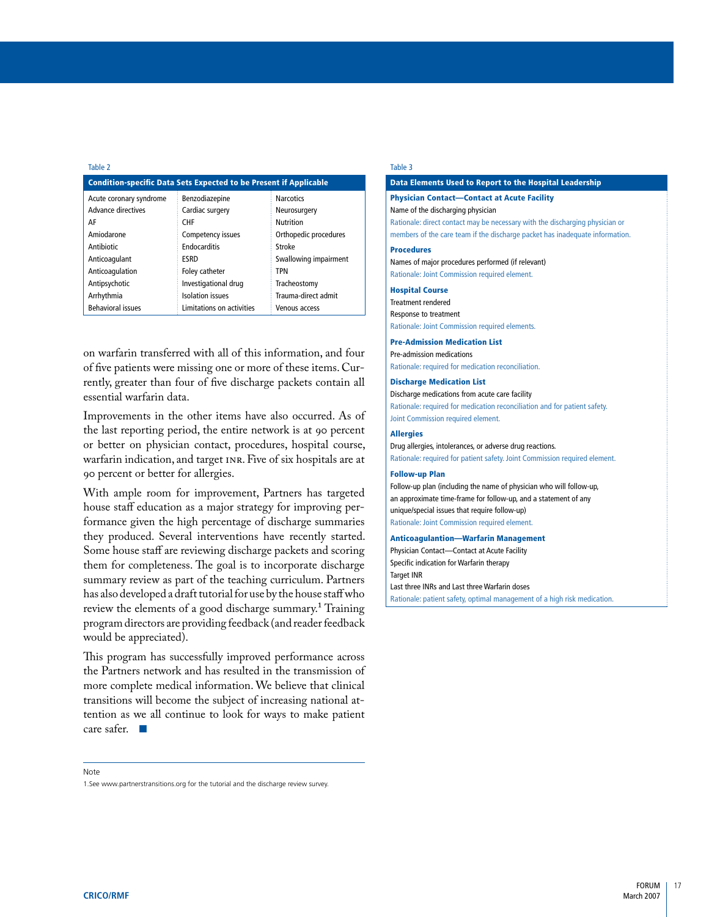#### Table 2

| <b>Condition-specific Data Sets Expected to be Present if Applicable</b> |                           |                       |  |  |
|--------------------------------------------------------------------------|---------------------------|-----------------------|--|--|
| Acute coronary syndrome                                                  | Benzodiazepine            | <b>Narcotics</b>      |  |  |
| <b>Advance directives</b>                                                | Cardiac surgery           | Neurosurgery          |  |  |
| AF                                                                       | <b>CHF</b>                | Nutrition             |  |  |
| Amiodarone                                                               | Competency issues         | Orthopedic procedures |  |  |
| Antibiotic                                                               | Endocarditis              | Stroke                |  |  |
| Anticoagulant                                                            | ESRD                      | Swallowing impairment |  |  |
| Anticoagulation                                                          | <b>Foley catheter</b>     | <b>TPN</b>            |  |  |
| Antipsychotic                                                            | Investigational drug      | Tracheostomy          |  |  |
| Arrhythmia                                                               | <b>Isolation</b> issues   | Trauma-direct admit   |  |  |
| <b>Behavioral issues</b>                                                 | Limitations on activities | Venous access         |  |  |

on warfarin transferred with all of this information, and four of five patients were missing one or more of these items. Currently, greater than four of five discharge packets contain all essential warfarin data.

Improvements in the other items have also occurred. As of the last reporting period, the entire network is at 90 percent or better on physician contact, procedures, hospital course, warfarin indication, and target INR. Five of six hospitals are at 90 percent or better for allergies.

With ample room for improvement, Partners has targeted house staff education as a major strategy for improving performance given the high percentage of discharge summaries they produced. Several interventions have recently started. Some house staff are reviewing discharge packets and scoring them for completeness. The goal is to incorporate discharge summary review as part of the teaching curriculum. Partners has also developed a draft tutorial for use by the house staff who review the elements of a good discharge summary.1 Training program directors are providing feedback (and reader feedback would be appreciated).

This program has successfully improved performance across the Partners network and has resulted in the transmission of more complete medical information. We believe that clinical transitions will become the subject of increasing national attention as we all continue to look for ways to make patient care safer. ■

#### Note

1. See www.partnerstransitions.org for the tutorial and the discharge review survey

#### Table 3

## Data Elements Used to Report to the Hospital Leadership Physician Contact—Contact at Acute Facility Name of the discharging physician Rationale: direct contact may be necessary with the discharging physician or members of the care team if the discharge packet has inadequate information. Procedures Names of major procedures performed (if relevant) Rationale: Joint Commission required element. Hospital Course Treatment rendered Response to treatment Rationale: Joint Commission required elements. Pre-Admission Medication List Pre-admission medications Rationale: required for medication reconciliation. Discharge Medication List Discharge medications from acute care facility Rationale: required for medication reconciliation and for patient safety. Joint Commission required element. **Allergies** Drug allergies, intolerances, or adverse drug reactions.

Rationale: required for patient safety. Joint Commission required element.

#### Follow-up Plan

Follow-up plan (including the name of physician who will follow-up, an approximate time-frame for follow-up, and a statement of any unique/special issues that require follow-up) Rationale: Joint Commission required element.

#### Anticoagulantion—Warfarin Management

Physician Contact—Contact at Acute Facility Specific indication for Warfarin therapy Target INR Last three INRs and Last three Warfarin doses Rationale: patient safety, optimal management of a high risk medication.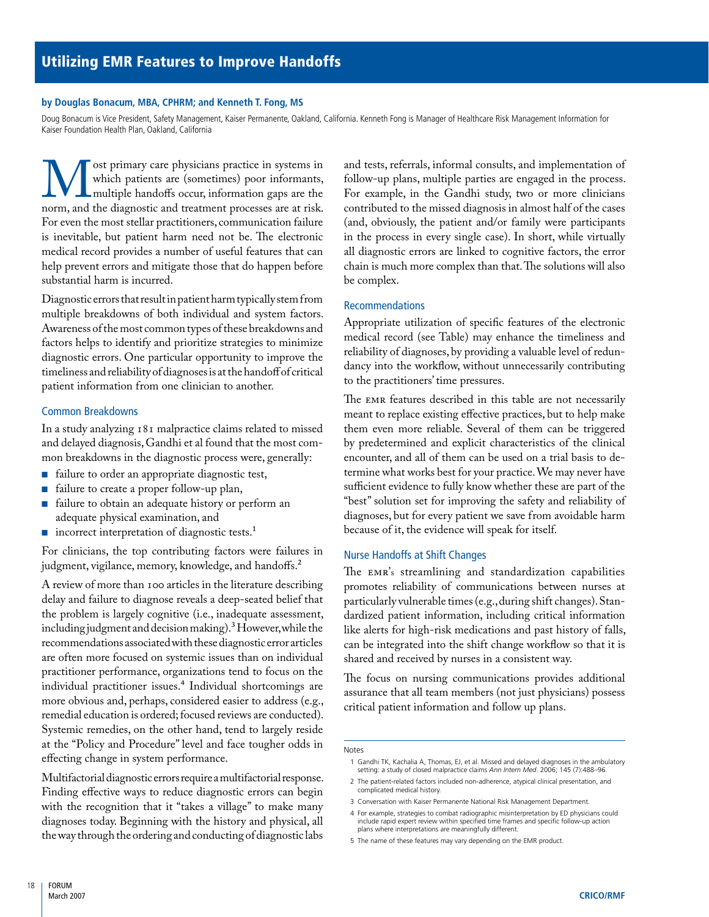#### <span id="page-19-0"></span>**by Douglas Bonacum, MBA, CPHRM; and Kenneth T. Fong, MS**

Doug Bonacum is Vice President, Safety Management, Kaiser Permanente, Oakland, California. Kenneth Fong is Manager of Healthcare Risk Management Information for Kaiser Foundation Health Plan, Oakland, California

We ost primary care physicians practice in systems in which patients are (sometimes) poor informants, multiple handoffs occur, information gaps are the norm, and the diagnostic and treatment processes are at risk. which patients are (sometimes) poor informants, multiple handoffs occur, information gaps are the For even the most stellar practitioners, communication failure is inevitable, but patient harm need not be. The electronic medical record provides a number of useful features that can help prevent errors and mitigate those that do happen before substantial harm is incurred.

Diagnostic errors that result in patient harm typically stem from multiple breakdowns of both individual and system factors. Awareness of the most common types of these breakdowns and factors helps to identify and prioritize strategies to minimize diagnostic errors. One particular opportunity to improve the timeliness and reliability of diagnoses is at the handoff of critical patient information from one clinician to another.

#### Common Breakdowns

In a study analyzing 181 malpractice claims related to missed and delayed diagnosis, Gandhi et al found that the most common breakdowns in the diagnostic process were, generally:

- failure to order an appropriate diagnostic test, ■
- failure to create a proper follow-up plan, ■
- failure to obtain an adequate history or perform an adequate physical examination, and ■
- incorrect interpretation of diagnostic tests.<sup>1</sup>

For clinicians, the top contributing factors were failures in judgment, vigilance, memory, knowledge, and handoffs.<sup>2</sup>

A review of more than 100 articles in the literature describing delay and failure to diagnose reveals a deep-seated belief that the problem is largely cognitive (i.e., inadequate assessment, including judgment and decision making).3 However, while the recommendations associated with these diagnostic error articles are often more focused on systemic issues than on individual practitioner performance, organizations tend to focus on the individual practitioner issues.<sup>4</sup> Individual shortcomings are more obvious and, perhaps, considered easier to address (e.g., remedial education is ordered; focused reviews are conducted). Systemic remedies, on the other hand, tend to largely reside at the "Policy and Procedure" level and face tougher odds in effecting change in system performance.

Multifactorial diagnostic errors require a multifactorial response. Finding effective ways to reduce diagnostic errors can begin with the recognition that it "takes a village" to make many diagnoses today. Beginning with the history and physical, all the way through the ordering and conducting of diagnostic labs

and tests, referrals, informal consults, and implementation of follow-up plans, multiple parties are engaged in the process. For example, in the Gandhi study, two or more clinicians contributed to the missed diagnosis in almost half of the cases (and, obviously, the patient and/or family were participants in the process in every single case). In short, while virtually all diagnostic errors are linked to cognitive factors, the error chain is much more complex than that. The solutions will also be complex.

#### Recommendations

Appropriate utilization of specific features of the electronic medical record (see Table) may enhance the timeliness and reliability of diagnoses, by providing a valuable level of redundancy into the workflow, without unnecessarily contributing to the practitioners' time pressures.

The EMR features described in this table are not necessarily meant to replace existing effective practices, but to help make them even more reliable. Several of them can be triggered by predetermined and explicit characteristics of the clinical encounter, and all of them can be used on a trial basis to determine what works best for your practice. We may never have sufficient evidence to fully know whether these are part of the "best" solution set for improving the safety and reliability of diagnoses, but for every patient we save from avoidable harm because of it, the evidence will speak for itself.

#### Nurse Handoffs at Shift Changes

The EMR's streamlining and standardization capabilities promotes reliability of communications between nurses at particularly vulnerable times (e.g., during shift changes). Standardized patient information, including critical information like alerts for high-risk medications and past history of falls, can be integrated into the shift change workflow so that it is shared and received by nurses in a consistent way.

The focus on nursing communications provides additional assurance that all team members (not just physicians) possess critical patient information and follow up plans.

Notes

4 For example, strategies to combat radiographic misinterpretation by ED physicians could include rapid expert review within specified time frames and specific follow-up action plans where interpretations are meaningfully different.

 <sup>1</sup> Gandhi TK, Kachalia A, Thomas, EJ, et al. Missed and delayed diagnoses in the ambulatory setting: a study of closed malpractice claims *Ann Intern Med*. 2006; 145 (7):488–96.

<sup>2</sup> The patient-related factors included non-adherence, atypical clinical presentation, and complicated medical history.

<sup>3</sup> Conversation with Kaiser Permanente National Risk Management Department.

<sup>5</sup> The name of these features may vary depending on the EMR product.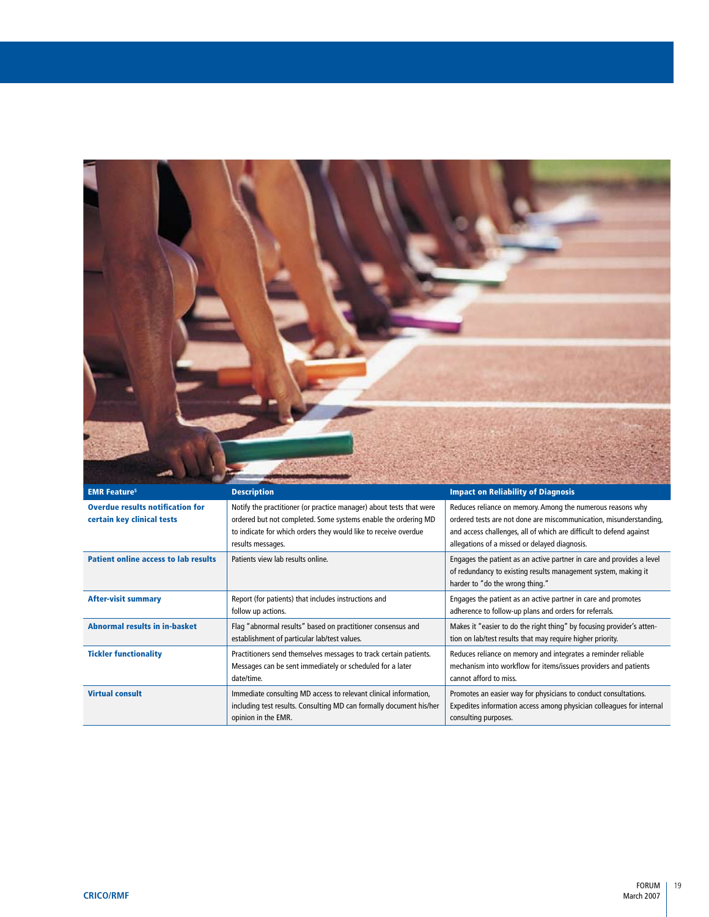

| <b>EMR Feature<sup>5</sup></b>                                        | <b>Description</b>                                                                                                                                                                                                            | <b>Impact on Reliability of Diagnosis</b>                                                                                                                                                                                                                |
|-----------------------------------------------------------------------|-------------------------------------------------------------------------------------------------------------------------------------------------------------------------------------------------------------------------------|----------------------------------------------------------------------------------------------------------------------------------------------------------------------------------------------------------------------------------------------------------|
| <b>Overdue results notification for</b><br>certain key clinical tests | Notify the practitioner (or practice manager) about tests that were<br>ordered but not completed. Some systems enable the ordering MD<br>to indicate for which orders they would like to receive overdue<br>results messages. | Reduces reliance on memory. Among the numerous reasons why<br>ordered tests are not done are miscommunication, misunderstanding,<br>and access challenges, all of which are difficult to defend against<br>allegations of a missed or delayed diagnosis. |
| <b>Patient online access to lab results</b>                           | Patients view lab results online.                                                                                                                                                                                             | Engages the patient as an active partner in care and provides a level<br>of redundancy to existing results management system, making it<br>harder to "do the wrong thing."                                                                               |
| <b>After-visit summary</b>                                            | Report (for patients) that includes instructions and<br>follow up actions.                                                                                                                                                    | Engages the patient as an active partner in care and promotes<br>adherence to follow-up plans and orders for referrals.                                                                                                                                  |
| <b>Abnormal results in in-basket</b>                                  | Flag "abnormal results" based on practitioner consensus and<br>establishment of particular lab/test values.                                                                                                                   | Makes it "easier to do the right thing" by focusing provider's atten-<br>tion on lab/test results that may require higher priority.                                                                                                                      |
| <b>Tickler functionality</b>                                          | Practitioners send themselves messages to track certain patients.<br>Messages can be sent immediately or scheduled for a later<br>date/time.                                                                                  | Reduces reliance on memory and integrates a reminder reliable<br>mechanism into workflow for items/issues providers and patients<br>cannot afford to miss.                                                                                               |
| <b>Virtual consult</b>                                                | Immediate consulting MD access to relevant clinical information,<br>including test results. Consulting MD can formally document his/her<br>opinion in the EMR.                                                                | Promotes an easier way for physicians to conduct consultations.<br>Expedites information access among physician colleagues for internal<br>consulting purposes.                                                                                          |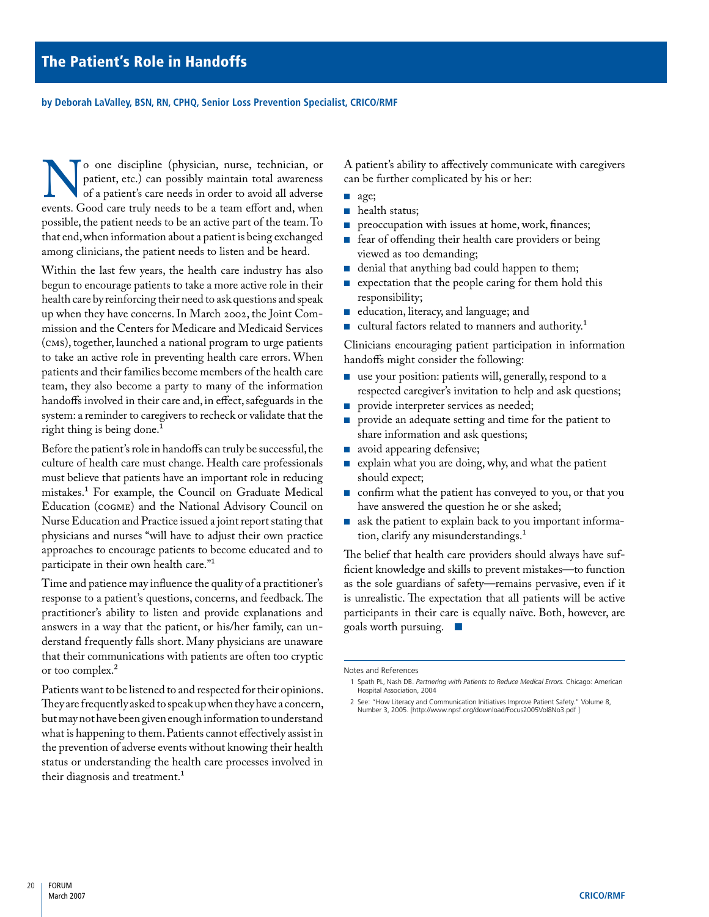<span id="page-21-0"></span>**by Deborah LaValley, BSN, RN, CPHQ, Senior Loss Prevention Specialist, CRICO/RMF**

solution of a patient, etc.) can possibly maintain total awareness of a patient's care needs in order to avoid all adverse events. Good care truly needs to be a team effort and, when patient, etc.) can possibly maintain total awareness of a patient's care needs in order to avoid all adverse possible, the patient needs to be an active part of the team. To that end, when information about a patient is being exchanged among clinicians, the patient needs to listen and be heard.

Within the last few years, the health care industry has also begun to encourage patients to take a more active role in their health care by reinforcing their need to ask questions and speak up when they have concerns. In March 2002, the Joint Commission and the Centers for Medicare and Medicaid Services (CMS), together, launched a national program to urge patients to take an active role in preventing health care errors. When patients and their families become members of the health care team, they also become a party to many of the information handoffs involved in their care and, in effect, safeguards in the system: a reminder to caregivers to recheck or validate that the right thing is being done.<sup>1</sup>

Before the patient's role in handoffs can truly be successful, the culture of health care must change. Health care professionals must believe that patients have an important role in reducing mistakes.1 For example, the Council on Graduate Medical Education (COGME) and the National Advisory Council on Nurse Education and Practice issued a joint report stating that physicians and nurses "will have to adjust their own practice approaches to encourage patients to become educated and to participate in their own health care."1

Time and patience may influence the quality of a practitioner's response to a patient's questions, concerns, and feedback. The practitioner's ability to listen and provide explanations and answers in a way that the patient, or his/her family, can understand frequently falls short. Many physicians are unaware that their communications with patients are often too cryptic or too complex.2

Patients want to be listened to and respected for their opinions. They are frequently asked to speak up when they have a concern, but may not have been given enough information to understand what is happening to them. Patients cannot effectively assist in the prevention of adverse events without knowing their health status or understanding the health care processes involved in their diagnosis and treatment.<sup>1</sup>

A patient's ability to affectively communicate with caregivers can be further complicated by his or her:

- age;
- health status;
- preoccupation with issues at home, work, finances;
- fear of offending their health care providers or being viewed as too demanding; ■
- denial that anything bad could happen to them; ■
- expectation that the people caring for them hold this responsibility; ■
- education, literacy, and language; and
- cultural factors related to manners and authority.<sup>1</sup> ■

Clinicians encouraging patient participation in information handoffs might consider the following:

- $\blacksquare$  use your position: patients will, generally, respond to a respected caregiver's invitation to help and ask questions;
- provide interpreter services as needed;
- provide an adequate setting and time for the patient to share information and ask questions; ■
- avoid appearing defensive; ■
- explain what you are doing, why, and what the patient should expect; ■
- confirm what the patient has conveyed to you, or that you have answered the question he or she asked;
- ask the patient to explain back to you important information, clarify any misunderstandings.<sup>1</sup>

The belief that health care providers should always have sufficient knowledge and skills to prevent mistakes—to function as the sole guardians of safety—remains pervasive, even if it is unrealistic. The expectation that all patients will be active participants in their care is equally naïve. Both, however, are goals worth pursuing. ■

 2 See: "How Literacy and Communication Initiatives Improve Patient Safety." Volume 8, Number 3, 2005. [http://www.npsf.org/download/Focus2005Vol8No3.pdf ]

Notes and References

 <sup>1</sup> Spath PL, Nash DB. *Partnering with Patients to Reduce Medical Errors.* Chicago: American Hospital Association, 2004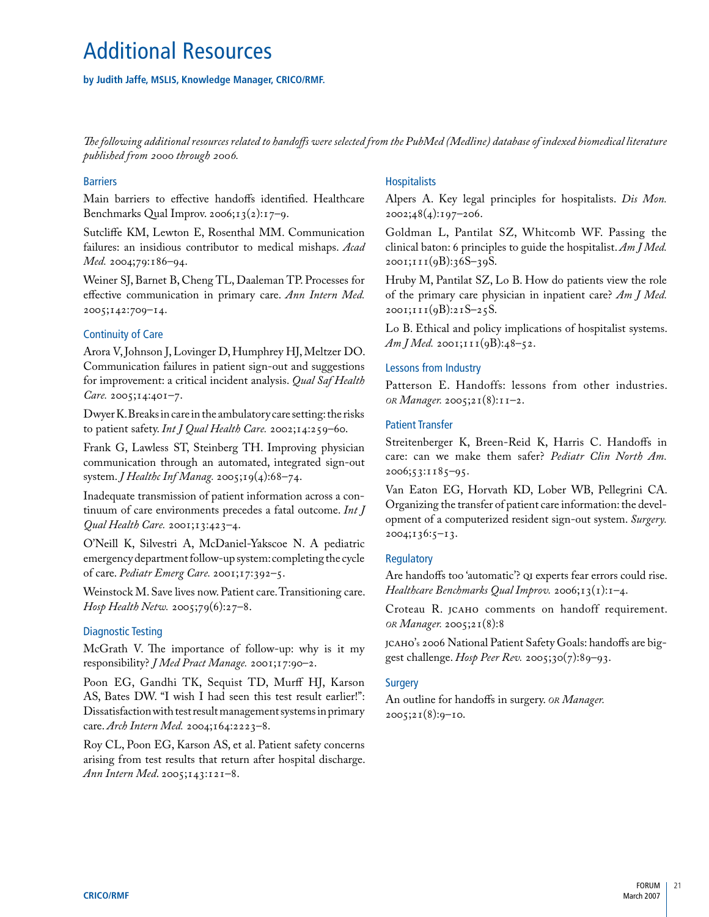# <span id="page-22-0"></span>Additional Resources

## **by Judith Jaffe, MSLIS, Knowledge Manager, CRICO/RMF.**

*The following additional resources related to handoffs were selected from the PubMed (Medline) database of indexed biomedical literature published from 2000 through 2006.*

#### **Barriers**

Main barriers to effective handoffs identified. Healthcare Benchmarks Qual Improv. 2006; $13(2):17-9$ .

Sutcliffe KM, Lewton E, Rosenthal MM. Communication failures: an insidious contributor to medical mishaps. *Acad Med.* 2004;79:186–94.

Weiner SJ, Barnet B, Cheng TL, Daaleman TP. Processes for effective communication in primary care. *Ann Intern Med.*  2005;142:709–14.

#### Continuity of Care

Arora V, Johnson J, Lovinger D, Humphrey HJ, Meltzer DO. Communication failures in patient sign-out and suggestions for improvement: a critical incident analysis. *Qual Saf Health Care.* 2005;14:401–7.

Dwyer K. Breaks in care in the ambulatory care setting: the risks to patient safety. *Int J Qual Health Care.* 2002;14:259–60.

Frank G, Lawless ST, Steinberg TH. Improving physician communication through an automated, integrated sign-out system. *J Healthc Inf Manag.* 2005;19(4):68–74.

Inadequate transmission of patient information across a continuum of care environments precedes a fatal outcome. *Int J Qual Health Care.* 2001;13:423–4.

O'Neill K, Silvestri A, McDaniel-Yakscoe N. A pediatric emergency department follow-up system: completing the cycle of care. *Pediatr Emerg Care.* 2001;17:392–5.

Weinstock M. Save lives now. Patient care. Transitioning care. *Hosp Health Netw.* 2005;79(6):27–8.

# Diagnostic Testing

McGrath V. The importance of follow-up: why is it my responsibility? *J Med Pract Manage.* 2001;17:90–2.

Poon EG, Gandhi TK, Sequist TD, Murff HJ, Karson AS, Bates DW. "I wish I had seen this test result earlier!": Dissatisfaction with test result management systems in primary care. *Arch Intern Med.* 2004;164:2223–8.

Roy CL, Poon EG, Karson AS, et al. Patient safety concerns arising from test results that return after hospital discharge. *Ann Intern Med*. 2005;143:121–8.

## **Hospitalists**

Alpers A. Key legal principles for hospitalists. *Dis Mon.*   $2002;48(4):197-206.$ 

Goldman L, Pantilat SZ, Whitcomb WF. Passing the clinical baton: 6 principles to guide the hospitalist. *Am J Med.*  2001;111(9B):36S–39S.

Hruby M, Pantilat SZ, Lo B. How do patients view the role of the primary care physician in inpatient care? *Am J Med.*  2001;111(9B):21S–25S.

Lo B. Ethical and policy implications of hospitalist systems.  $Am J Med. 2001; 111(9B): 48-52.$ 

#### Lessons from Industry

Patterson E. Handoffs: lessons from other industries. *or Manager.* 2005;21(8):11–2.

#### Patient Transfer

Streitenberger K, Breen-Reid K, Harris C. Handoffs in care: can we make them safer? *Pediatr Clin North Am.*  2006;53:1185–95.

Van Eaton EG, Horvath KD, Lober WB, Pellegrini CA. Organizing the transfer of patient care information: the development of a computerized resident sign-out system. *Surgery.*  2004;136:5–13.

#### **Regulatory**

Are handoffs too 'automatic'? QI experts fear errors could rise. *Healthcare Benchmarks Qual Improv.* 2006;13(1):1–4.

Croteau R. JCAHO comments on handoff requirement. *or Manager.* 2005;21(8):8

JCAHO's 2006 National Patient Safety Goals: handoffs are biggest challenge. *Hosp Peer Rev.* 2005;30(7):89–93.

#### **Surgery**

An outline for handoffs in surgery. *or Manager.*   $2005;21(8):9-10.$